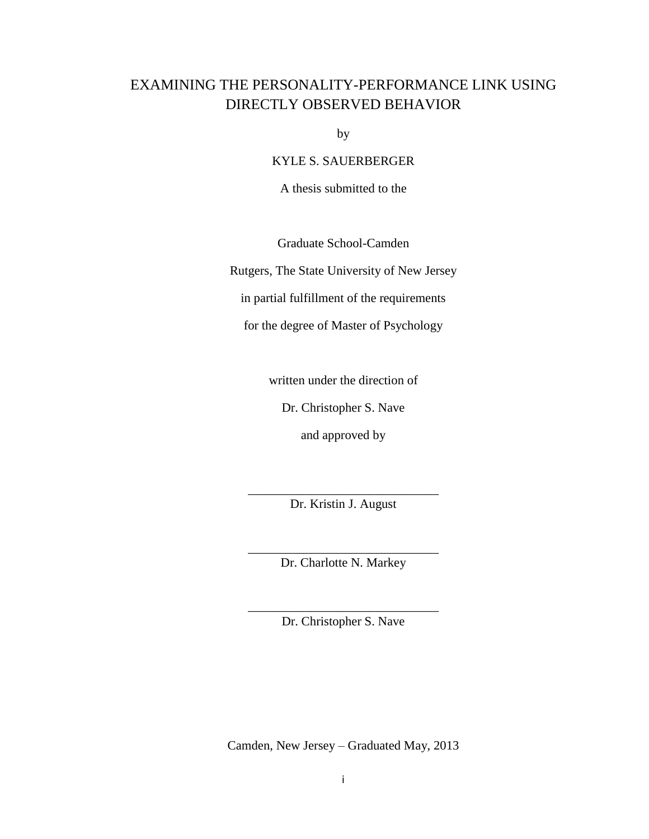## EXAMINING THE PERSONALITY-PERFORMANCE LINK USING DIRECTLY OBSERVED BEHAVIOR

by

KYLE S. SAUERBERGER

A thesis submitted to the

Graduate School-Camden

Rutgers, The State University of New Jersey

in partial fulfillment of the requirements

for the degree of Master of Psychology

written under the direction of

Dr. Christopher S. Nave

and approved by

\_\_\_\_\_\_\_\_\_\_\_\_\_\_\_\_\_\_\_\_\_\_\_\_\_\_\_\_\_\_ Dr. Kristin J. August

\_\_\_\_\_\_\_\_\_\_\_\_\_\_\_\_\_\_\_\_\_\_\_\_\_\_\_\_\_\_ Dr. Charlotte N. Markey

\_\_\_\_\_\_\_\_\_\_\_\_\_\_\_\_\_\_\_\_\_\_\_\_\_\_\_\_\_\_ Dr. Christopher S. Nave

Camden, New Jersey – Graduated May, 2013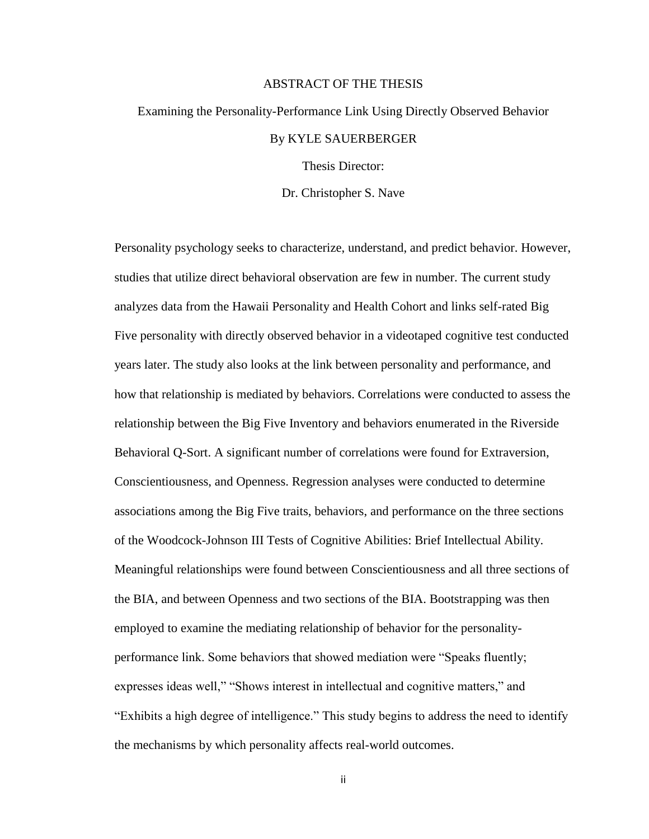#### ABSTRACT OF THE THESIS

# Examining the Personality-Performance Link Using Directly Observed Behavior By KYLE SAUERBERGER

Thesis Director:

Dr. Christopher S. Nave

Personality psychology seeks to characterize, understand, and predict behavior. However, studies that utilize direct behavioral observation are few in number. The current study analyzes data from the Hawaii Personality and Health Cohort and links self-rated Big Five personality with directly observed behavior in a videotaped cognitive test conducted years later. The study also looks at the link between personality and performance, and how that relationship is mediated by behaviors. Correlations were conducted to assess the relationship between the Big Five Inventory and behaviors enumerated in the Riverside Behavioral Q-Sort. A significant number of correlations were found for Extraversion, Conscientiousness, and Openness. Regression analyses were conducted to determine associations among the Big Five traits, behaviors, and performance on the three sections of the Woodcock-Johnson III Tests of Cognitive Abilities: Brief Intellectual Ability. Meaningful relationships were found between Conscientiousness and all three sections of the BIA, and between Openness and two sections of the BIA. Bootstrapping was then employed to examine the mediating relationship of behavior for the personalityperformance link. Some behaviors that showed mediation were "Speaks fluently; expresses ideas well," "Shows interest in intellectual and cognitive matters," and "Exhibits a high degree of intelligence." This study begins to address the need to identify the mechanisms by which personality affects real-world outcomes.

ii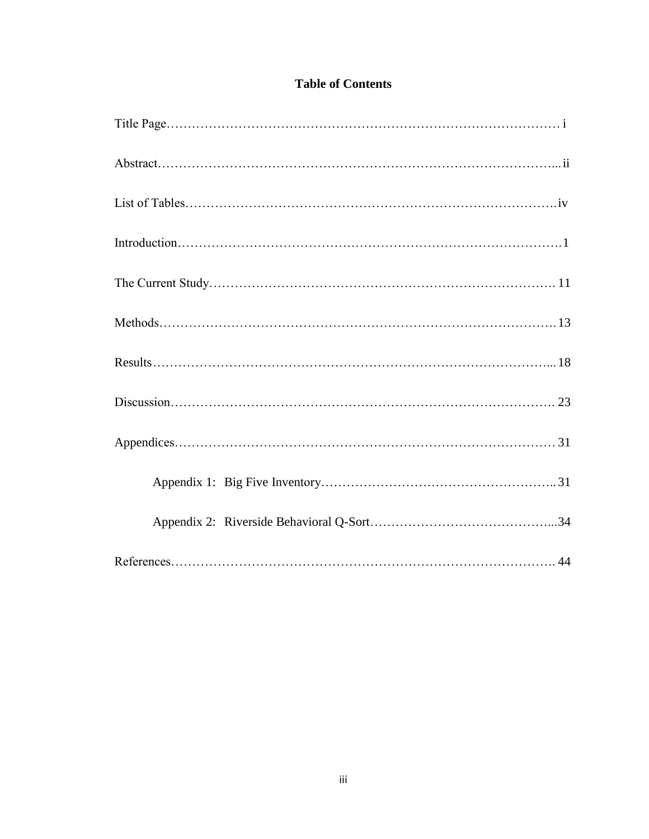## **Table of Contents**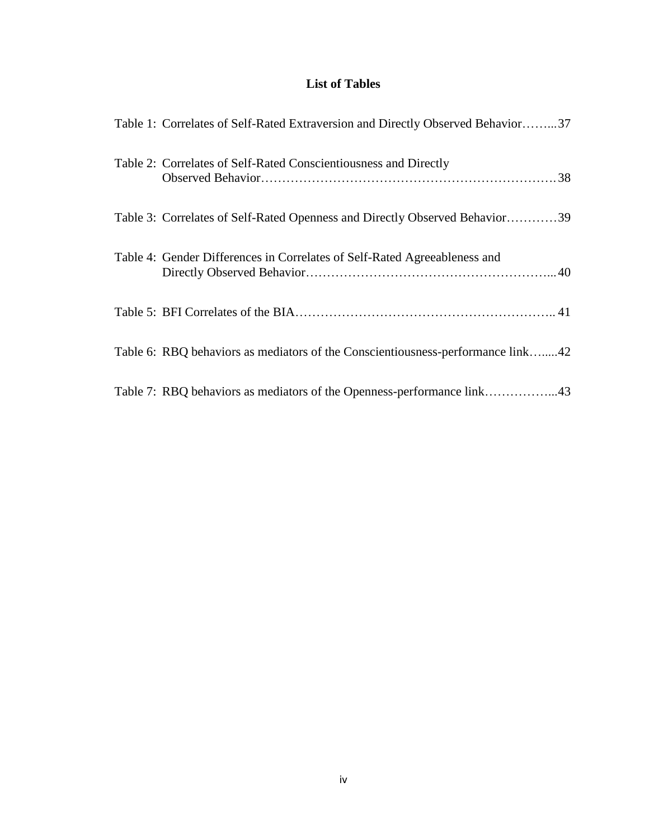## **List of Tables**

| Table 1: Correlates of Self-Rated Extraversion and Directly Observed Behavior37 |
|---------------------------------------------------------------------------------|
| Table 2: Correlates of Self-Rated Conscientiousness and Directly                |
| Table 3: Correlates of Self-Rated Openness and Directly Observed Behavior39     |
| Table 4: Gender Differences in Correlates of Self-Rated Agreeableness and       |
|                                                                                 |
| Table 6: RBQ behaviors as mediators of the Conscientiousness-performance link42 |
| Table 7: RBQ behaviors as mediators of the Openness-performance link43          |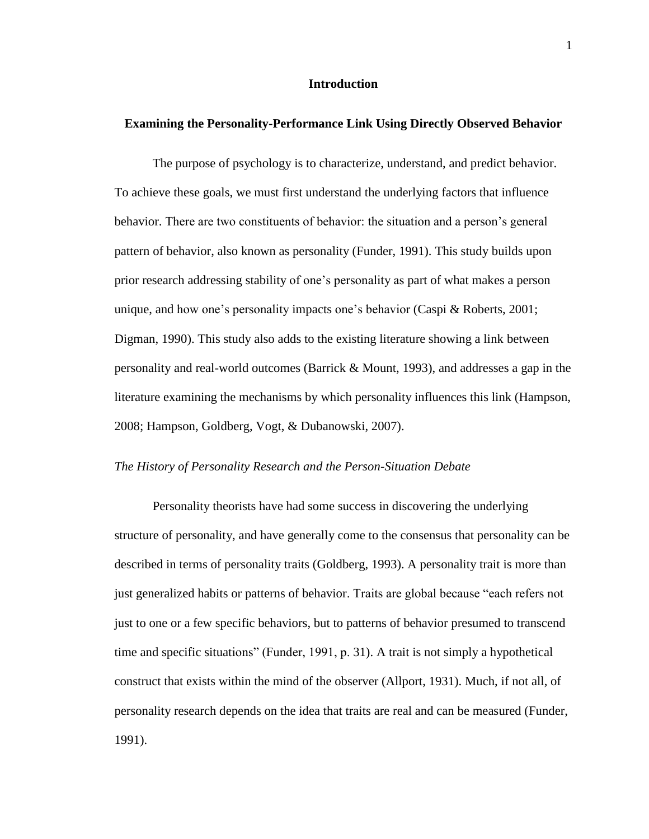#### **Introduction**

#### **Examining the Personality-Performance Link Using Directly Observed Behavior**

The purpose of psychology is to characterize, understand, and predict behavior. To achieve these goals, we must first understand the underlying factors that influence behavior. There are two constituents of behavior: the situation and a person's general pattern of behavior, also known as personality (Funder, 1991). This study builds upon prior research addressing stability of one's personality as part of what makes a person unique, and how one's personality impacts one's behavior (Caspi & Roberts, 2001; Digman, 1990). This study also adds to the existing literature showing a link between personality and real-world outcomes (Barrick & Mount, 1993), and addresses a gap in the literature examining the mechanisms by which personality influences this link (Hampson, 2008; Hampson, Goldberg, Vogt, & Dubanowski, 2007).

#### *The History of Personality Research and the Person-Situation Debate*

Personality theorists have had some success in discovering the underlying structure of personality, and have generally come to the consensus that personality can be described in terms of personality traits (Goldberg, 1993). A personality trait is more than just generalized habits or patterns of behavior. Traits are global because "each refers not just to one or a few specific behaviors, but to patterns of behavior presumed to transcend time and specific situations" (Funder, 1991, p. 31). A trait is not simply a hypothetical construct that exists within the mind of the observer (Allport, 1931). Much, if not all, of personality research depends on the idea that traits are real and can be measured (Funder, 1991).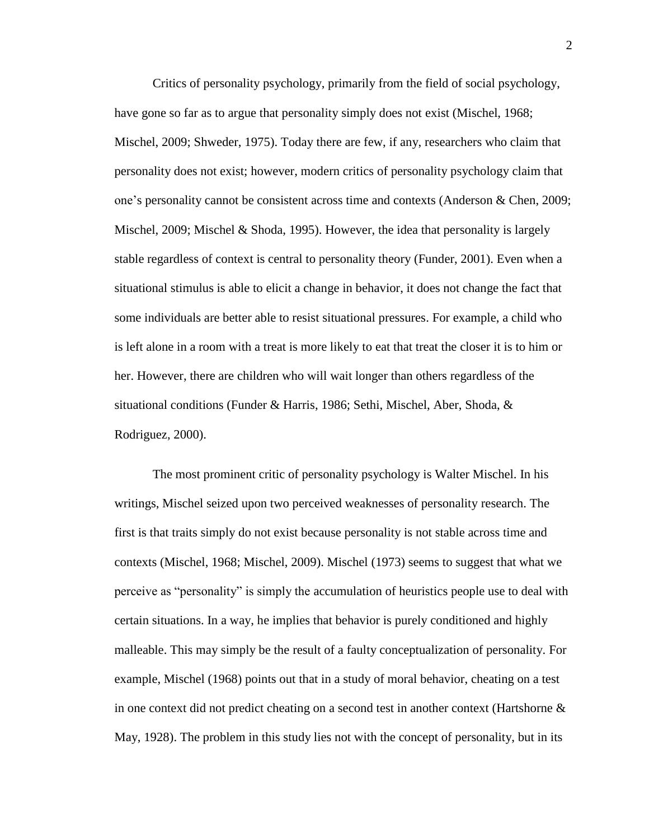Critics of personality psychology, primarily from the field of social psychology, have gone so far as to argue that personality simply does not exist (Mischel, 1968; Mischel, 2009; Shweder, 1975). Today there are few, if any, researchers who claim that personality does not exist; however, modern critics of personality psychology claim that one's personality cannot be consistent across time and contexts (Anderson & Chen, 2009; Mischel, 2009; Mischel & Shoda, 1995). However, the idea that personality is largely stable regardless of context is central to personality theory (Funder, 2001). Even when a situational stimulus is able to elicit a change in behavior, it does not change the fact that some individuals are better able to resist situational pressures. For example, a child who is left alone in a room with a treat is more likely to eat that treat the closer it is to him or her. However, there are children who will wait longer than others regardless of the situational conditions (Funder & Harris, 1986; Sethi, Mischel, Aber, Shoda, & Rodriguez, 2000).

The most prominent critic of personality psychology is Walter Mischel. In his writings, Mischel seized upon two perceived weaknesses of personality research. The first is that traits simply do not exist because personality is not stable across time and contexts (Mischel, 1968; Mischel, 2009). Mischel (1973) seems to suggest that what we perceive as "personality" is simply the accumulation of heuristics people use to deal with certain situations. In a way, he implies that behavior is purely conditioned and highly malleable. This may simply be the result of a faulty conceptualization of personality. For example, Mischel (1968) points out that in a study of moral behavior, cheating on a test in one context did not predict cheating on a second test in another context (Hartshorne  $\&$ May, 1928). The problem in this study lies not with the concept of personality, but in its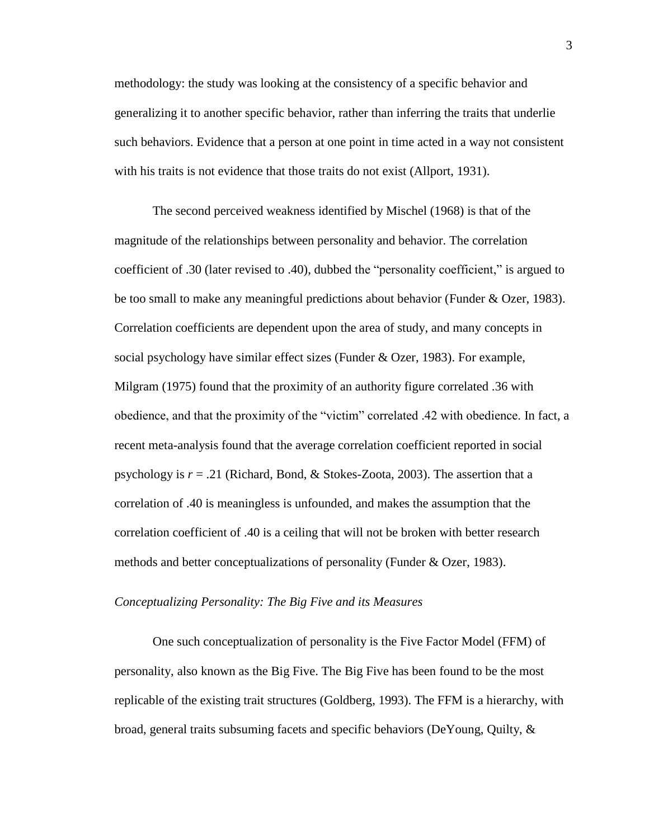methodology: the study was looking at the consistency of a specific behavior and generalizing it to another specific behavior, rather than inferring the traits that underlie such behaviors. Evidence that a person at one point in time acted in a way not consistent with his traits is not evidence that those traits do not exist (Allport, 1931).

The second perceived weakness identified by Mischel (1968) is that of the magnitude of the relationships between personality and behavior. The correlation coefficient of .30 (later revised to .40), dubbed the "personality coefficient," is argued to be too small to make any meaningful predictions about behavior (Funder & Ozer, 1983). Correlation coefficients are dependent upon the area of study, and many concepts in social psychology have similar effect sizes (Funder & Ozer, 1983). For example, Milgram (1975) found that the proximity of an authority figure correlated .36 with obedience, and that the proximity of the "victim" correlated .42 with obedience. In fact, a recent meta-analysis found that the average correlation coefficient reported in social psychology is *r* = .21 (Richard, Bond, & Stokes-Zoota, 2003). The assertion that a correlation of .40 is meaningless is unfounded, and makes the assumption that the correlation coefficient of .40 is a ceiling that will not be broken with better research methods and better conceptualizations of personality (Funder & Ozer, 1983).

#### *Conceptualizing Personality: The Big Five and its Measures*

One such conceptualization of personality is the Five Factor Model (FFM) of personality, also known as the Big Five. The Big Five has been found to be the most replicable of the existing trait structures (Goldberg, 1993). The FFM is a hierarchy, with broad, general traits subsuming facets and specific behaviors (DeYoung, Quilty, &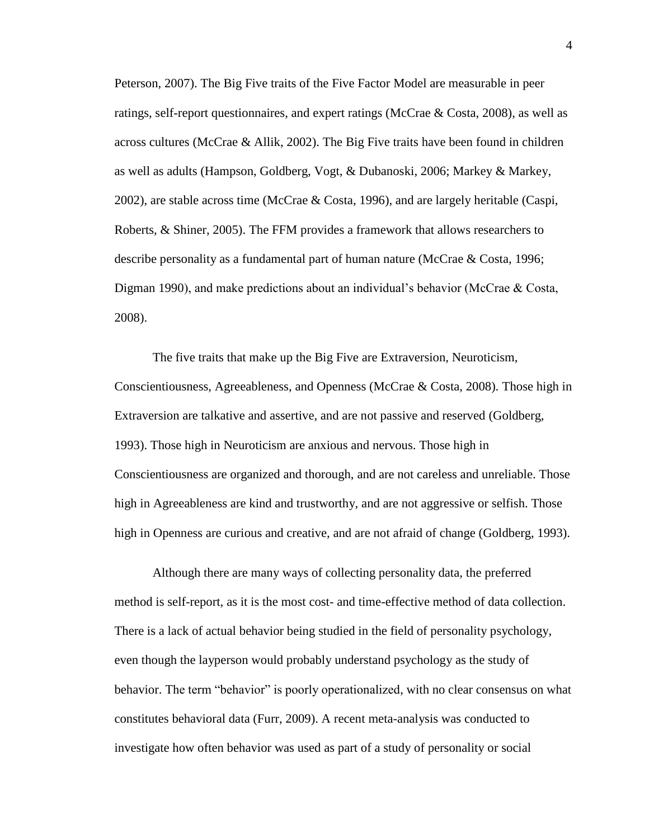Peterson, 2007). The Big Five traits of the Five Factor Model are measurable in peer ratings, self-report questionnaires, and expert ratings (McCrae & Costa, 2008), as well as across cultures (McCrae & Allik, 2002). The Big Five traits have been found in children as well as adults (Hampson, Goldberg, Vogt, & Dubanoski, 2006; Markey & Markey, 2002), are stable across time (McCrae & Costa, 1996), and are largely heritable (Caspi, Roberts, & Shiner, 2005). The FFM provides a framework that allows researchers to describe personality as a fundamental part of human nature (McCrae & Costa, 1996; Digman 1990), and make predictions about an individual's behavior (McCrae & Costa, 2008).

The five traits that make up the Big Five are Extraversion, Neuroticism, Conscientiousness, Agreeableness, and Openness (McCrae & Costa, 2008). Those high in Extraversion are talkative and assertive, and are not passive and reserved (Goldberg, 1993). Those high in Neuroticism are anxious and nervous. Those high in Conscientiousness are organized and thorough, and are not careless and unreliable. Those high in Agreeableness are kind and trustworthy, and are not aggressive or selfish. Those high in Openness are curious and creative, and are not afraid of change (Goldberg, 1993).

Although there are many ways of collecting personality data, the preferred method is self-report, as it is the most cost- and time-effective method of data collection. There is a lack of actual behavior being studied in the field of personality psychology, even though the layperson would probably understand psychology as the study of behavior. The term "behavior" is poorly operationalized, with no clear consensus on what constitutes behavioral data (Furr, 2009). A recent meta-analysis was conducted to investigate how often behavior was used as part of a study of personality or social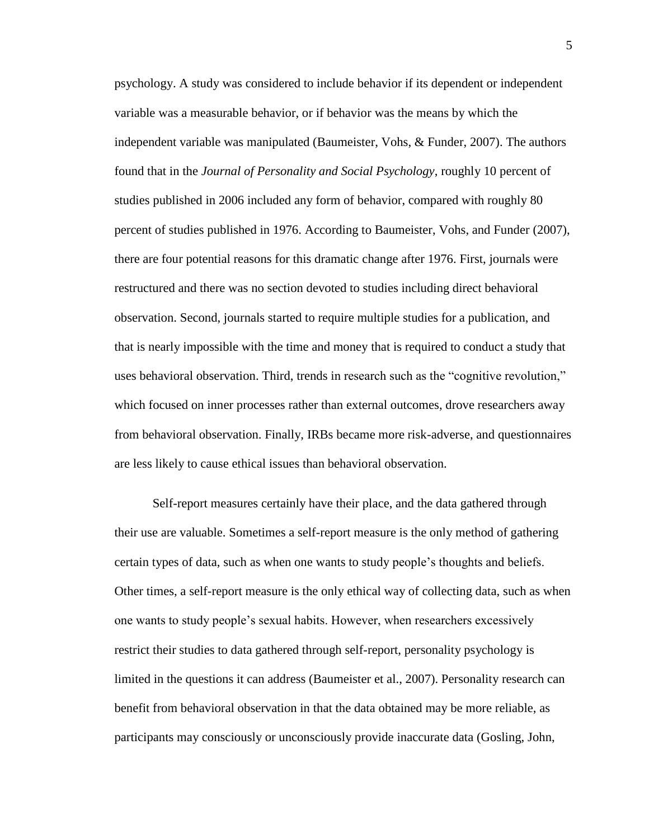psychology. A study was considered to include behavior if its dependent or independent variable was a measurable behavior, or if behavior was the means by which the independent variable was manipulated (Baumeister, Vohs, & Funder, 2007). The authors found that in the *Journal of Personality and Social Psychology*, roughly 10 percent of studies published in 2006 included any form of behavior, compared with roughly 80 percent of studies published in 1976. According to Baumeister, Vohs, and Funder (2007), there are four potential reasons for this dramatic change after 1976. First, journals were restructured and there was no section devoted to studies including direct behavioral observation. Second, journals started to require multiple studies for a publication, and that is nearly impossible with the time and money that is required to conduct a study that uses behavioral observation. Third, trends in research such as the "cognitive revolution," which focused on inner processes rather than external outcomes, drove researchers away from behavioral observation. Finally, IRBs became more risk-adverse, and questionnaires are less likely to cause ethical issues than behavioral observation.

Self-report measures certainly have their place, and the data gathered through their use are valuable. Sometimes a self-report measure is the only method of gathering certain types of data, such as when one wants to study people's thoughts and beliefs. Other times, a self-report measure is the only ethical way of collecting data, such as when one wants to study people's sexual habits. However, when researchers excessively restrict their studies to data gathered through self-report, personality psychology is limited in the questions it can address (Baumeister et al., 2007). Personality research can benefit from behavioral observation in that the data obtained may be more reliable, as participants may consciously or unconsciously provide inaccurate data (Gosling, John,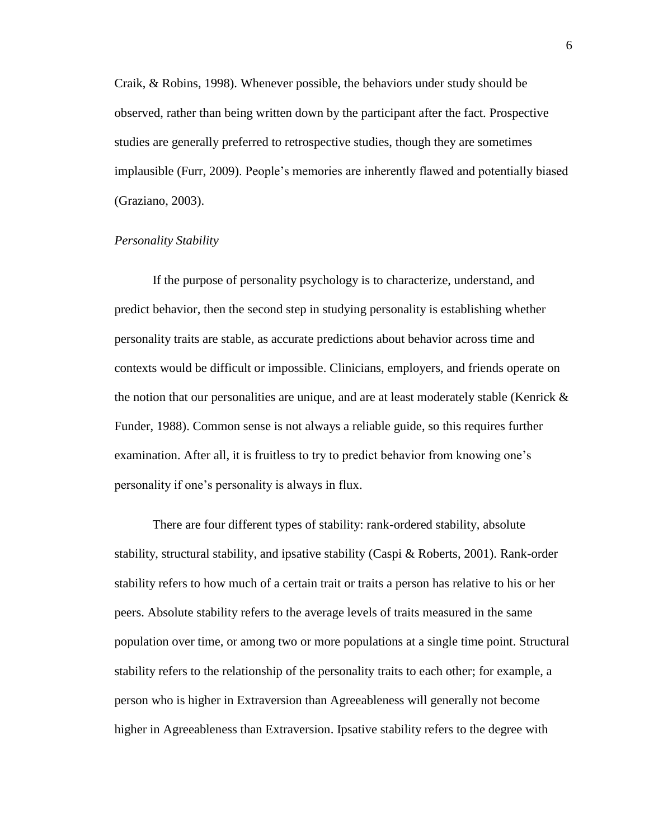Craik, & Robins, 1998). Whenever possible, the behaviors under study should be observed, rather than being written down by the participant after the fact. Prospective studies are generally preferred to retrospective studies, though they are sometimes implausible (Furr, 2009). People's memories are inherently flawed and potentially biased (Graziano, 2003).

#### *Personality Stability*

If the purpose of personality psychology is to characterize, understand, and predict behavior, then the second step in studying personality is establishing whether personality traits are stable, as accurate predictions about behavior across time and contexts would be difficult or impossible. Clinicians, employers, and friends operate on the notion that our personalities are unique, and are at least moderately stable (Kenrick  $\&$ Funder, 1988). Common sense is not always a reliable guide, so this requires further examination. After all, it is fruitless to try to predict behavior from knowing one's personality if one's personality is always in flux.

There are four different types of stability: rank-ordered stability, absolute stability, structural stability, and ipsative stability (Caspi & Roberts, 2001). Rank-order stability refers to how much of a certain trait or traits a person has relative to his or her peers. Absolute stability refers to the average levels of traits measured in the same population over time, or among two or more populations at a single time point. Structural stability refers to the relationship of the personality traits to each other; for example, a person who is higher in Extraversion than Agreeableness will generally not become higher in Agreeableness than Extraversion. Ipsative stability refers to the degree with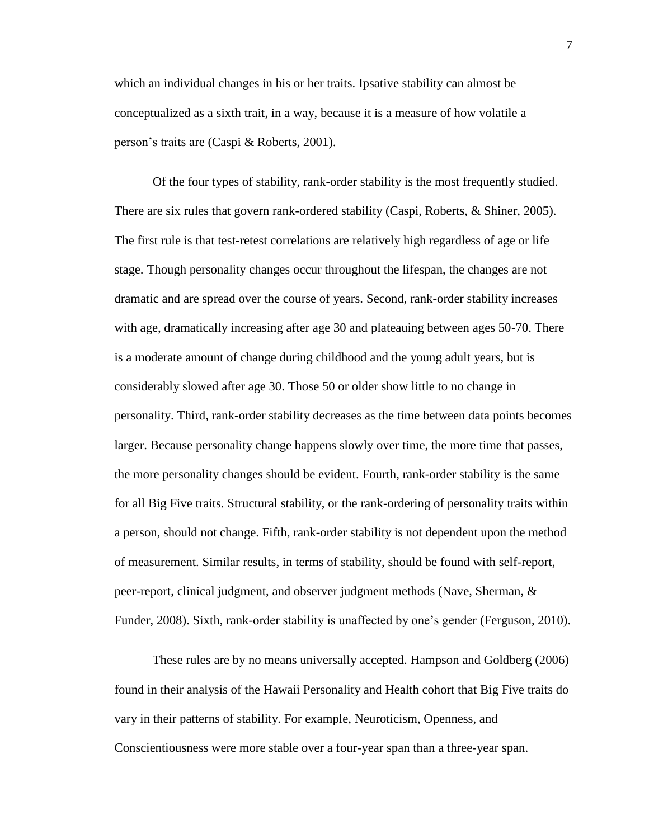which an individual changes in his or her traits. Ipsative stability can almost be conceptualized as a sixth trait, in a way, because it is a measure of how volatile a person's traits are (Caspi & Roberts, 2001).

Of the four types of stability, rank-order stability is the most frequently studied. There are six rules that govern rank-ordered stability (Caspi, Roberts, & Shiner, 2005). The first rule is that test-retest correlations are relatively high regardless of age or life stage. Though personality changes occur throughout the lifespan, the changes are not dramatic and are spread over the course of years. Second, rank-order stability increases with age, dramatically increasing after age 30 and plateauing between ages 50-70. There is a moderate amount of change during childhood and the young adult years, but is considerably slowed after age 30. Those 50 or older show little to no change in personality. Third, rank-order stability decreases as the time between data points becomes larger. Because personality change happens slowly over time, the more time that passes, the more personality changes should be evident. Fourth, rank-order stability is the same for all Big Five traits. Structural stability, or the rank-ordering of personality traits within a person, should not change. Fifth, rank-order stability is not dependent upon the method of measurement. Similar results, in terms of stability, should be found with self-report, peer-report, clinical judgment, and observer judgment methods (Nave, Sherman, & Funder, 2008). Sixth, rank-order stability is unaffected by one's gender (Ferguson, 2010).

These rules are by no means universally accepted. Hampson and Goldberg (2006) found in their analysis of the Hawaii Personality and Health cohort that Big Five traits do vary in their patterns of stability. For example, Neuroticism, Openness, and Conscientiousness were more stable over a four-year span than a three-year span.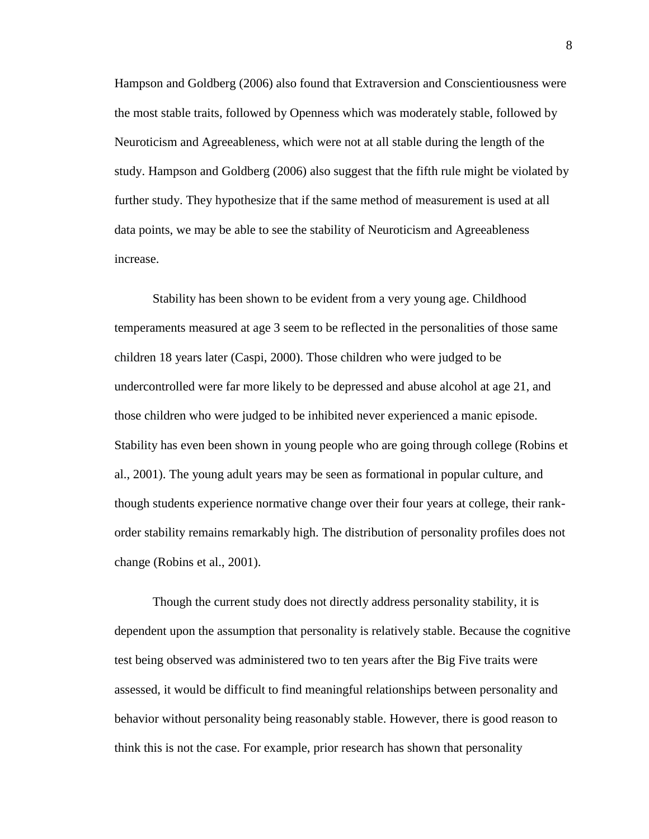Hampson and Goldberg (2006) also found that Extraversion and Conscientiousness were the most stable traits, followed by Openness which was moderately stable, followed by Neuroticism and Agreeableness, which were not at all stable during the length of the study. Hampson and Goldberg (2006) also suggest that the fifth rule might be violated by further study. They hypothesize that if the same method of measurement is used at all data points, we may be able to see the stability of Neuroticism and Agreeableness increase.

Stability has been shown to be evident from a very young age. Childhood temperaments measured at age 3 seem to be reflected in the personalities of those same children 18 years later (Caspi, 2000). Those children who were judged to be undercontrolled were far more likely to be depressed and abuse alcohol at age 21, and those children who were judged to be inhibited never experienced a manic episode. Stability has even been shown in young people who are going through college (Robins et al., 2001). The young adult years may be seen as formational in popular culture, and though students experience normative change over their four years at college, their rankorder stability remains remarkably high. The distribution of personality profiles does not change (Robins et al., 2001).

Though the current study does not directly address personality stability, it is dependent upon the assumption that personality is relatively stable. Because the cognitive test being observed was administered two to ten years after the Big Five traits were assessed, it would be difficult to find meaningful relationships between personality and behavior without personality being reasonably stable. However, there is good reason to think this is not the case. For example, prior research has shown that personality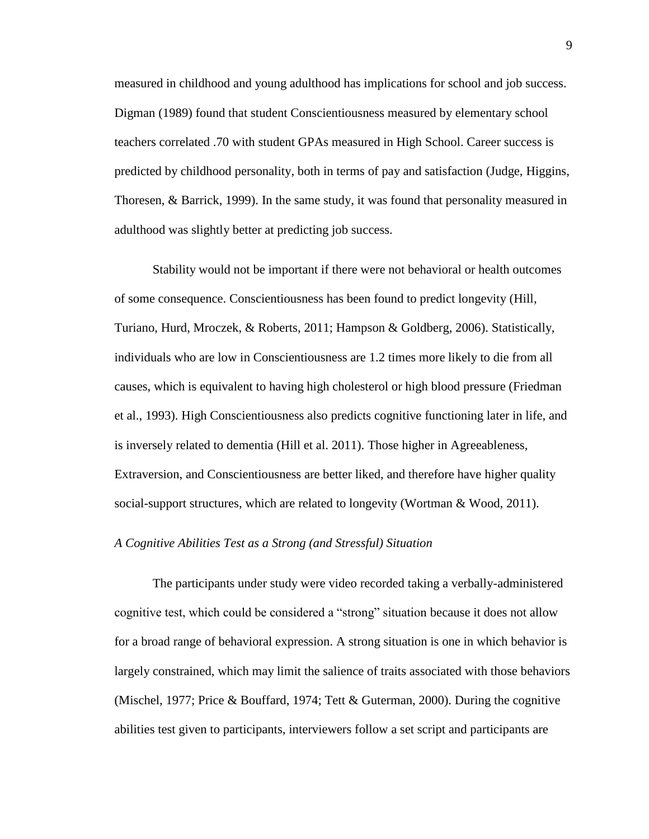measured in childhood and young adulthood has implications for school and job success. Digman (1989) found that student Conscientiousness measured by elementary school teachers correlated .70 with student GPAs measured in High School. Career success is predicted by childhood personality, both in terms of pay and satisfaction (Judge, Higgins, Thoresen, & Barrick, 1999). In the same study, it was found that personality measured in adulthood was slightly better at predicting job success.

Stability would not be important if there were not behavioral or health outcomes of some consequence. Conscientiousness has been found to predict longevity (Hill, Turiano, Hurd, Mroczek, & Roberts, 2011; Hampson & Goldberg, 2006). Statistically, individuals who are low in Conscientiousness are 1.2 times more likely to die from all causes, which is equivalent to having high cholesterol or high blood pressure (Friedman et al., 1993). High Conscientiousness also predicts cognitive functioning later in life, and is inversely related to dementia (Hill et al. 2011). Those higher in Agreeableness, Extraversion, and Conscientiousness are better liked, and therefore have higher quality social-support structures, which are related to longevity (Wortman & Wood, 2011).

#### *A Cognitive Abilities Test as a Strong (and Stressful) Situation*

The participants under study were video recorded taking a verbally-administered cognitive test, which could be considered a "strong" situation because it does not allow for a broad range of behavioral expression. A strong situation is one in which behavior is largely constrained, which may limit the salience of traits associated with those behaviors (Mischel, 1977; Price & Bouffard, 1974; Tett & Guterman, 2000). During the cognitive abilities test given to participants, interviewers follow a set script and participants are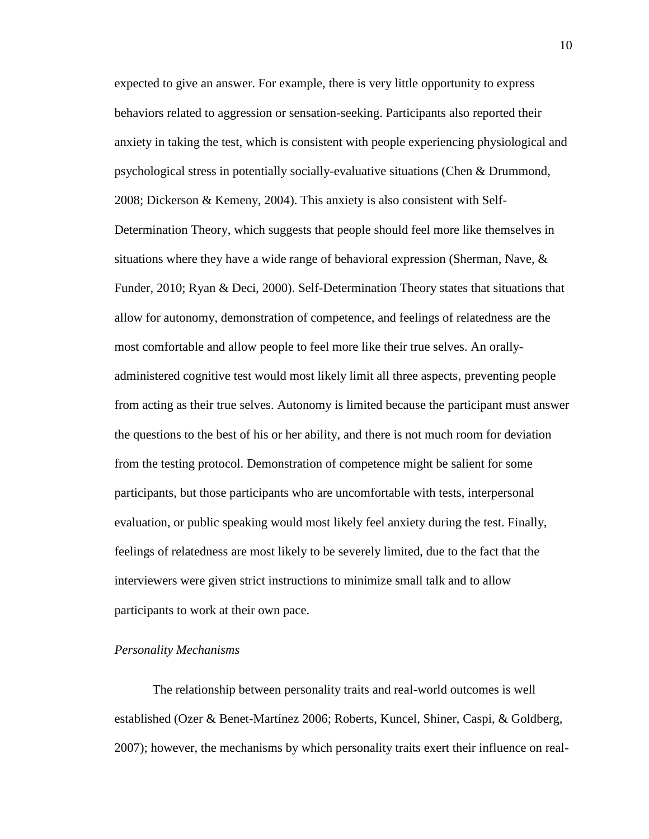expected to give an answer. For example, there is very little opportunity to express behaviors related to aggression or sensation-seeking. Participants also reported their anxiety in taking the test, which is consistent with people experiencing physiological and psychological stress in potentially socially-evaluative situations (Chen & Drummond, 2008; Dickerson & Kemeny, 2004). This anxiety is also consistent with Self-Determination Theory, which suggests that people should feel more like themselves in situations where they have a wide range of behavioral expression (Sherman, Nave,  $\&$ Funder, 2010; Ryan & Deci, 2000). Self-Determination Theory states that situations that allow for autonomy, demonstration of competence, and feelings of relatedness are the most comfortable and allow people to feel more like their true selves. An orallyadministered cognitive test would most likely limit all three aspects, preventing people from acting as their true selves. Autonomy is limited because the participant must answer the questions to the best of his or her ability, and there is not much room for deviation from the testing protocol. Demonstration of competence might be salient for some participants, but those participants who are uncomfortable with tests, interpersonal evaluation, or public speaking would most likely feel anxiety during the test. Finally, feelings of relatedness are most likely to be severely limited, due to the fact that the interviewers were given strict instructions to minimize small talk and to allow participants to work at their own pace.

#### *Personality Mechanisms*

The relationship between personality traits and real-world outcomes is well established (Ozer & Benet-Martínez 2006; Roberts, Kuncel, Shiner, Caspi, & Goldberg, 2007); however, the mechanisms by which personality traits exert their influence on real-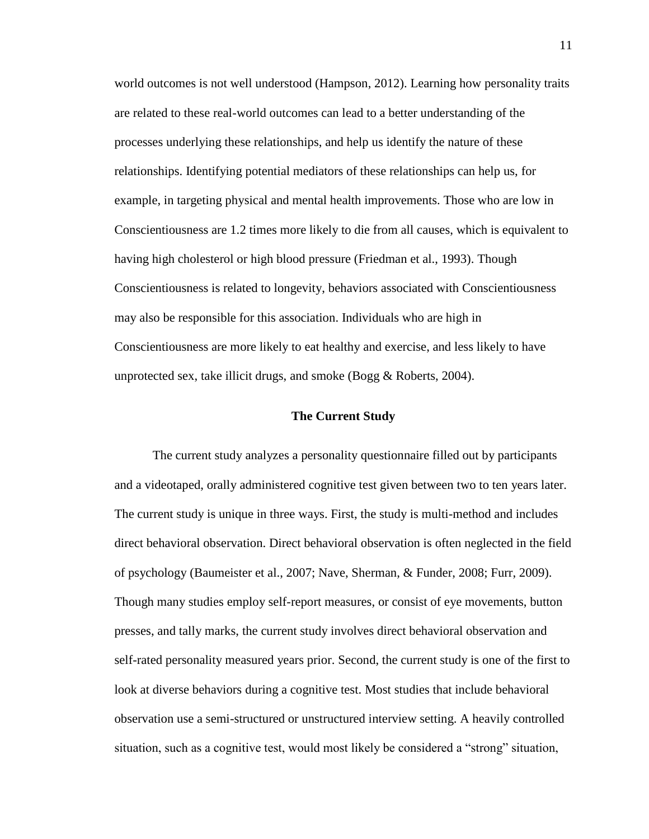world outcomes is not well understood (Hampson, 2012). Learning how personality traits are related to these real-world outcomes can lead to a better understanding of the processes underlying these relationships, and help us identify the nature of these relationships. Identifying potential mediators of these relationships can help us, for example, in targeting physical and mental health improvements. Those who are low in Conscientiousness are 1.2 times more likely to die from all causes, which is equivalent to having high cholesterol or high blood pressure (Friedman et al., 1993). Though Conscientiousness is related to longevity, behaviors associated with Conscientiousness may also be responsible for this association. Individuals who are high in Conscientiousness are more likely to eat healthy and exercise, and less likely to have unprotected sex, take illicit drugs, and smoke (Bogg & Roberts, 2004).

#### **The Current Study**

The current study analyzes a personality questionnaire filled out by participants and a videotaped, orally administered cognitive test given between two to ten years later. The current study is unique in three ways. First, the study is multi-method and includes direct behavioral observation. Direct behavioral observation is often neglected in the field of psychology (Baumeister et al., 2007; Nave, Sherman, & Funder, 2008; Furr, 2009). Though many studies employ self-report measures, or consist of eye movements, button presses, and tally marks, the current study involves direct behavioral observation and self-rated personality measured years prior. Second, the current study is one of the first to look at diverse behaviors during a cognitive test. Most studies that include behavioral observation use a semi-structured or unstructured interview setting. A heavily controlled situation, such as a cognitive test, would most likely be considered a "strong" situation,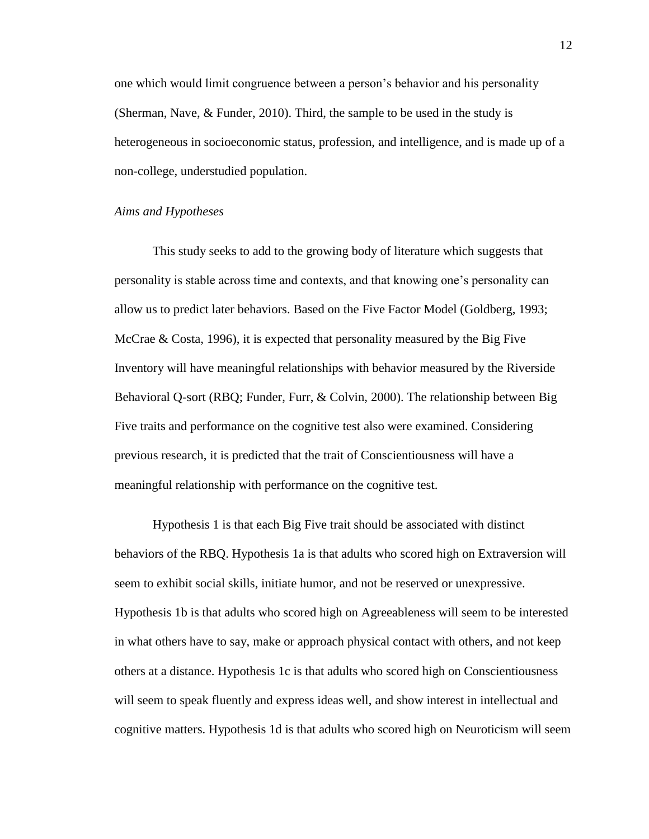one which would limit congruence between a person's behavior and his personality (Sherman, Nave, & Funder, 2010). Third, the sample to be used in the study is heterogeneous in socioeconomic status, profession, and intelligence, and is made up of a non-college, understudied population.

#### *Aims and Hypotheses*

This study seeks to add to the growing body of literature which suggests that personality is stable across time and contexts, and that knowing one's personality can allow us to predict later behaviors. Based on the Five Factor Model (Goldberg, 1993; McCrae & Costa, 1996), it is expected that personality measured by the Big Five Inventory will have meaningful relationships with behavior measured by the Riverside Behavioral Q-sort (RBQ; Funder, Furr, & Colvin, 2000). The relationship between Big Five traits and performance on the cognitive test also were examined. Considering previous research, it is predicted that the trait of Conscientiousness will have a meaningful relationship with performance on the cognitive test.

Hypothesis 1 is that each Big Five trait should be associated with distinct behaviors of the RBQ. Hypothesis 1a is that adults who scored high on Extraversion will seem to exhibit social skills, initiate humor, and not be reserved or unexpressive. Hypothesis 1b is that adults who scored high on Agreeableness will seem to be interested in what others have to say, make or approach physical contact with others, and not keep others at a distance. Hypothesis 1c is that adults who scored high on Conscientiousness will seem to speak fluently and express ideas well, and show interest in intellectual and cognitive matters. Hypothesis 1d is that adults who scored high on Neuroticism will seem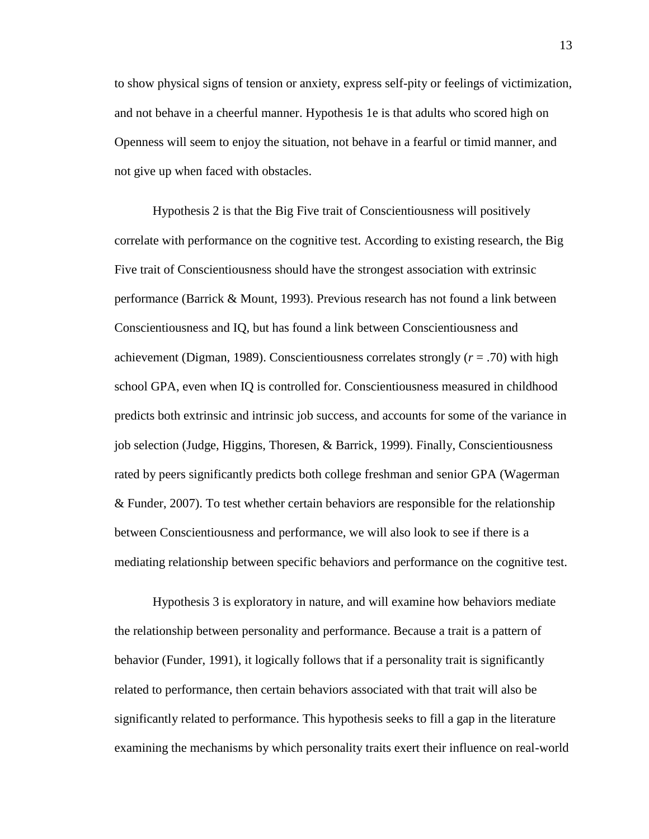to show physical signs of tension or anxiety, express self-pity or feelings of victimization, and not behave in a cheerful manner. Hypothesis 1e is that adults who scored high on Openness will seem to enjoy the situation, not behave in a fearful or timid manner, and not give up when faced with obstacles.

Hypothesis 2 is that the Big Five trait of Conscientiousness will positively correlate with performance on the cognitive test. According to existing research, the Big Five trait of Conscientiousness should have the strongest association with extrinsic performance (Barrick & Mount, 1993). Previous research has not found a link between Conscientiousness and IQ, but has found a link between Conscientiousness and achievement (Digman, 1989). Conscientiousness correlates strongly (*r* = .70) with high school GPA, even when IQ is controlled for. Conscientiousness measured in childhood predicts both extrinsic and intrinsic job success, and accounts for some of the variance in job selection (Judge, Higgins, Thoresen, & Barrick, 1999). Finally, Conscientiousness rated by peers significantly predicts both college freshman and senior GPA (Wagerman & Funder, 2007). To test whether certain behaviors are responsible for the relationship between Conscientiousness and performance, we will also look to see if there is a mediating relationship between specific behaviors and performance on the cognitive test.

Hypothesis 3 is exploratory in nature, and will examine how behaviors mediate the relationship between personality and performance. Because a trait is a pattern of behavior (Funder, 1991), it logically follows that if a personality trait is significantly related to performance, then certain behaviors associated with that trait will also be significantly related to performance. This hypothesis seeks to fill a gap in the literature examining the mechanisms by which personality traits exert their influence on real-world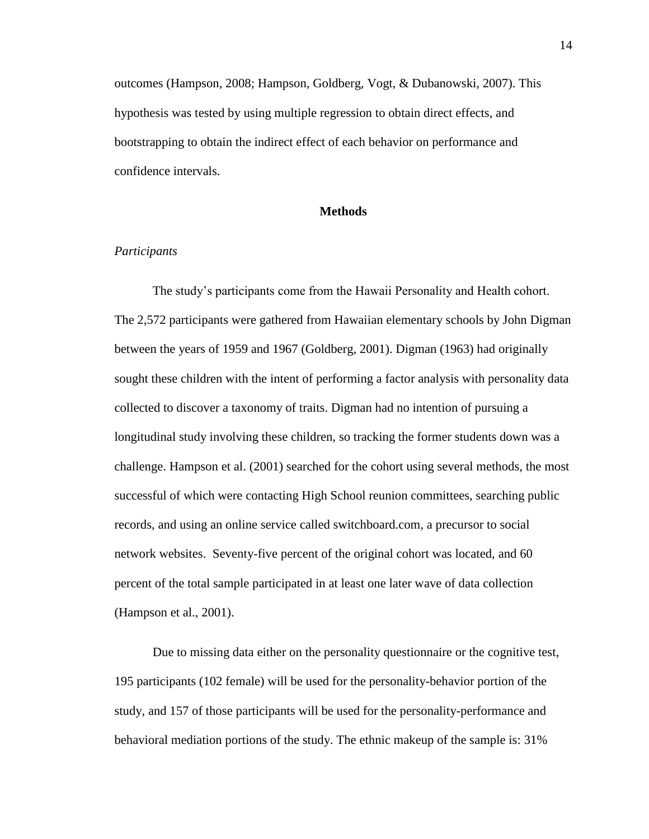outcomes (Hampson, 2008; Hampson, Goldberg, Vogt, & Dubanowski, 2007). This hypothesis was tested by using multiple regression to obtain direct effects, and bootstrapping to obtain the indirect effect of each behavior on performance and confidence intervals.

#### **Methods**

#### *Participants*

The study's participants come from the Hawaii Personality and Health cohort. The 2,572 participants were gathered from Hawaiian elementary schools by John Digman between the years of 1959 and 1967 (Goldberg, 2001). Digman (1963) had originally sought these children with the intent of performing a factor analysis with personality data collected to discover a taxonomy of traits. Digman had no intention of pursuing a longitudinal study involving these children, so tracking the former students down was a challenge. Hampson et al. (2001) searched for the cohort using several methods, the most successful of which were contacting High School reunion committees, searching public records, and using an online service called switchboard.com, a precursor to social network websites. Seventy-five percent of the original cohort was located, and 60 percent of the total sample participated in at least one later wave of data collection (Hampson et al., 2001).

Due to missing data either on the personality questionnaire or the cognitive test, 195 participants (102 female) will be used for the personality-behavior portion of the study, and 157 of those participants will be used for the personality-performance and behavioral mediation portions of the study. The ethnic makeup of the sample is: 31%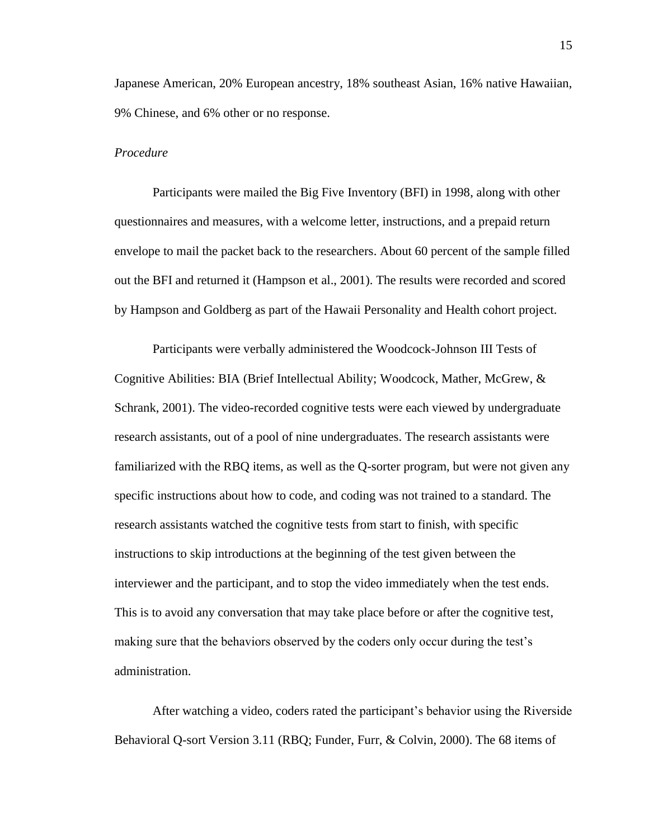Japanese American, 20% European ancestry, 18% southeast Asian, 16% native Hawaiian, 9% Chinese, and 6% other or no response.

#### *Procedure*

Participants were mailed the Big Five Inventory (BFI) in 1998, along with other questionnaires and measures, with a welcome letter, instructions, and a prepaid return envelope to mail the packet back to the researchers. About 60 percent of the sample filled out the BFI and returned it (Hampson et al., 2001). The results were recorded and scored by Hampson and Goldberg as part of the Hawaii Personality and Health cohort project.

Participants were verbally administered the Woodcock-Johnson III Tests of Cognitive Abilities: BIA (Brief Intellectual Ability; Woodcock, Mather, McGrew, & Schrank, 2001). The video-recorded cognitive tests were each viewed by undergraduate research assistants, out of a pool of nine undergraduates. The research assistants were familiarized with the RBQ items, as well as the Q-sorter program, but were not given any specific instructions about how to code, and coding was not trained to a standard. The research assistants watched the cognitive tests from start to finish, with specific instructions to skip introductions at the beginning of the test given between the interviewer and the participant, and to stop the video immediately when the test ends. This is to avoid any conversation that may take place before or after the cognitive test, making sure that the behaviors observed by the coders only occur during the test's administration.

After watching a video, coders rated the participant's behavior using the Riverside Behavioral Q-sort Version 3.11 (RBQ; Funder, Furr, & Colvin, 2000). The 68 items of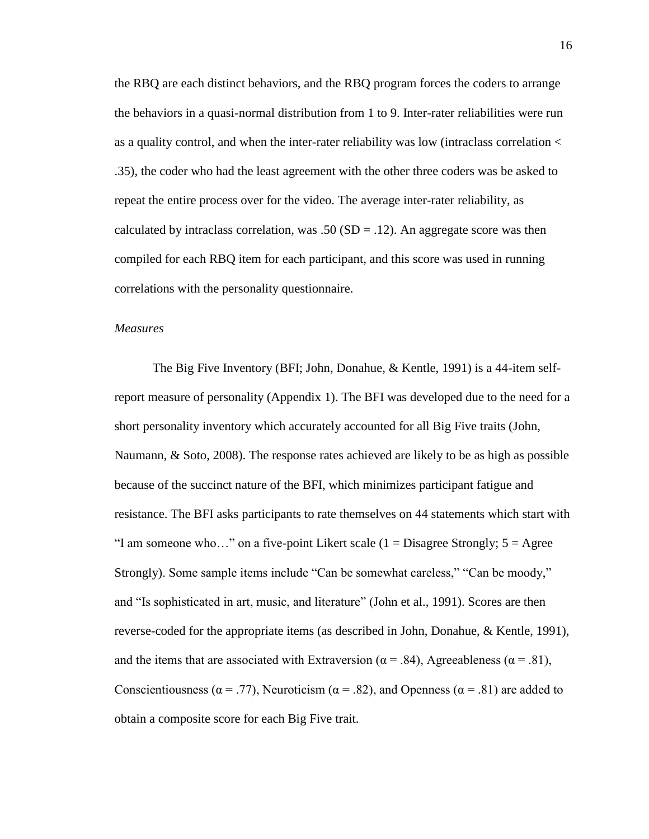the RBQ are each distinct behaviors, and the RBQ program forces the coders to arrange the behaviors in a quasi-normal distribution from 1 to 9. Inter-rater reliabilities were run as a quality control, and when the inter-rater reliability was low (intraclass correlation < .35), the coder who had the least agreement with the other three coders was be asked to repeat the entire process over for the video. The average inter-rater reliability, as calculated by intraclass correlation, was .50 ( $SD = .12$ ). An aggregate score was then compiled for each RBQ item for each participant, and this score was used in running correlations with the personality questionnaire.

#### *Measures*

The Big Five Inventory (BFI; John, Donahue, & Kentle, 1991) is a 44-item selfreport measure of personality (Appendix 1). The BFI was developed due to the need for a short personality inventory which accurately accounted for all Big Five traits (John, Naumann, & Soto, 2008). The response rates achieved are likely to be as high as possible because of the succinct nature of the BFI, which minimizes participant fatigue and resistance. The BFI asks participants to rate themselves on 44 statements which start with "I am someone who..." on a five-point Likert scale  $(1 = \text{Disagree Strongly}; 5 = \text{Agree})$ Strongly). Some sample items include "Can be somewhat careless," "Can be moody," and "Is sophisticated in art, music, and literature" (John et al., 1991). Scores are then reverse-coded for the appropriate items (as described in John, Donahue, & Kentle, 1991), and the items that are associated with Extraversion ( $\alpha$  = .84), Agreeableness ( $\alpha$  = .81), Conscientiousness ( $\alpha$  = .77), Neuroticism ( $\alpha$  = .82), and Openness ( $\alpha$  = .81) are added to obtain a composite score for each Big Five trait.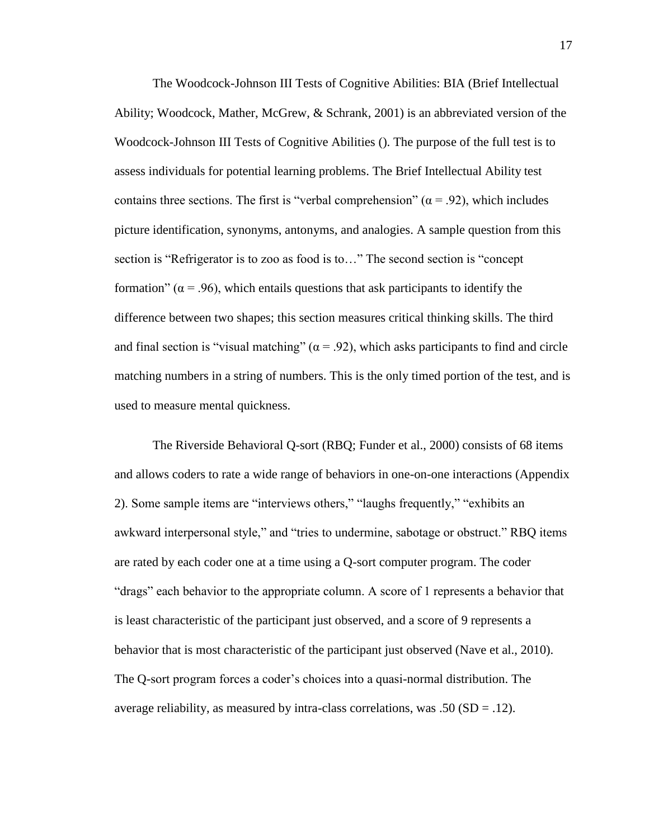The Woodcock-Johnson III Tests of Cognitive Abilities: BIA (Brief Intellectual Ability; Woodcock, Mather, McGrew, & Schrank, 2001) is an abbreviated version of the Woodcock-Johnson III Tests of Cognitive Abilities (). The purpose of the full test is to assess individuals for potential learning problems. The Brief Intellectual Ability test contains three sections. The first is "verbal comprehension" ( $\alpha$  = .92), which includes picture identification, synonyms, antonyms, and analogies. A sample question from this section is "Refrigerator is to zoo as food is to…" The second section is "concept formation" ( $\alpha$  = .96), which entails questions that ask participants to identify the difference between two shapes; this section measures critical thinking skills. The third and final section is "visual matching" ( $\alpha$  = .92), which asks participants to find and circle matching numbers in a string of numbers. This is the only timed portion of the test, and is used to measure mental quickness.

The Riverside Behavioral Q-sort (RBQ; Funder et al., 2000) consists of 68 items and allows coders to rate a wide range of behaviors in one-on-one interactions (Appendix 2). Some sample items are "interviews others," "laughs frequently," "exhibits an awkward interpersonal style," and "tries to undermine, sabotage or obstruct." RBQ items are rated by each coder one at a time using a Q-sort computer program. The coder "drags" each behavior to the appropriate column. A score of 1 represents a behavior that is least characteristic of the participant just observed, and a score of 9 represents a behavior that is most characteristic of the participant just observed (Nave et al., 2010). The Q-sort program forces a coder's choices into a quasi-normal distribution. The average reliability, as measured by intra-class correlations, was  $.50$  (SD =  $.12$ ).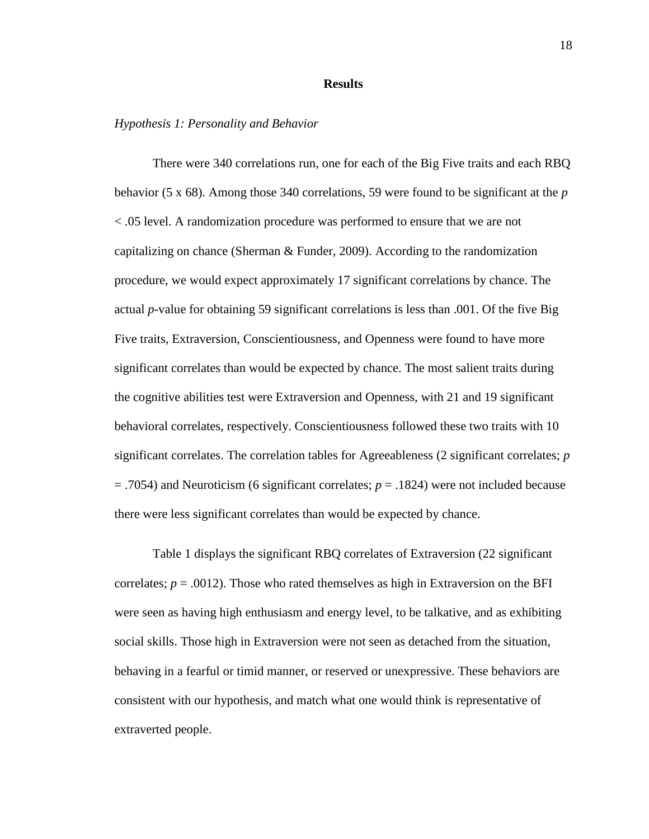#### **Results**

#### *Hypothesis 1: Personality and Behavior*

There were 340 correlations run, one for each of the Big Five traits and each RBQ behavior (5 x 68). Among those 340 correlations, 59 were found to be significant at the *p* < .05 level. A randomization procedure was performed to ensure that we are not capitalizing on chance (Sherman & Funder, 2009). According to the randomization procedure, we would expect approximately 17 significant correlations by chance. The actual *p*-value for obtaining 59 significant correlations is less than .001. Of the five Big Five traits, Extraversion, Conscientiousness, and Openness were found to have more significant correlates than would be expected by chance. The most salient traits during the cognitive abilities test were Extraversion and Openness, with 21 and 19 significant behavioral correlates, respectively. Conscientiousness followed these two traits with 10 significant correlates. The correlation tables for Agreeableness (2 significant correlates; *p*  $=$  .7054) and Neuroticism (6 significant correlates;  $p = .1824$ ) were not included because there were less significant correlates than would be expected by chance.

Table 1 displays the significant RBQ correlates of Extraversion (22 significant correlates;  $p = .0012$ ). Those who rated themselves as high in Extraversion on the BFI were seen as having high enthusiasm and energy level, to be talkative, and as exhibiting social skills. Those high in Extraversion were not seen as detached from the situation, behaving in a fearful or timid manner, or reserved or unexpressive. These behaviors are consistent with our hypothesis, and match what one would think is representative of extraverted people.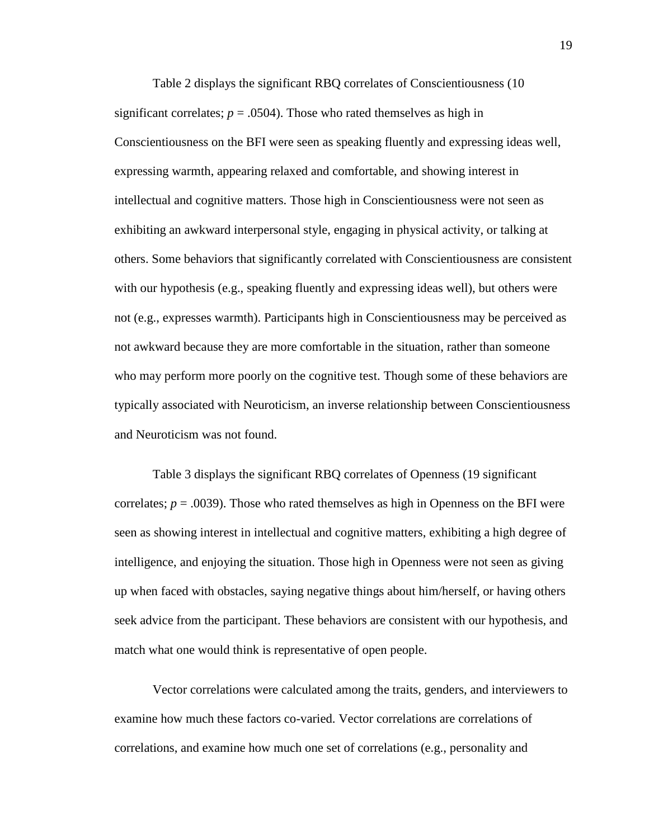Table 2 displays the significant RBQ correlates of Conscientiousness (10 significant correlates;  $p = .0504$ ). Those who rated themselves as high in Conscientiousness on the BFI were seen as speaking fluently and expressing ideas well, expressing warmth, appearing relaxed and comfortable, and showing interest in intellectual and cognitive matters. Those high in Conscientiousness were not seen as exhibiting an awkward interpersonal style, engaging in physical activity, or talking at others. Some behaviors that significantly correlated with Conscientiousness are consistent with our hypothesis (e.g., speaking fluently and expressing ideas well), but others were not (e.g., expresses warmth). Participants high in Conscientiousness may be perceived as not awkward because they are more comfortable in the situation, rather than someone who may perform more poorly on the cognitive test. Though some of these behaviors are typically associated with Neuroticism, an inverse relationship between Conscientiousness and Neuroticism was not found.

Table 3 displays the significant RBQ correlates of Openness (19 significant correlates;  $p = .0039$ ). Those who rated themselves as high in Openness on the BFI were seen as showing interest in intellectual and cognitive matters, exhibiting a high degree of intelligence, and enjoying the situation. Those high in Openness were not seen as giving up when faced with obstacles, saying negative things about him/herself, or having others seek advice from the participant. These behaviors are consistent with our hypothesis, and match what one would think is representative of open people.

Vector correlations were calculated among the traits, genders, and interviewers to examine how much these factors co-varied. Vector correlations are correlations of correlations, and examine how much one set of correlations (e.g., personality and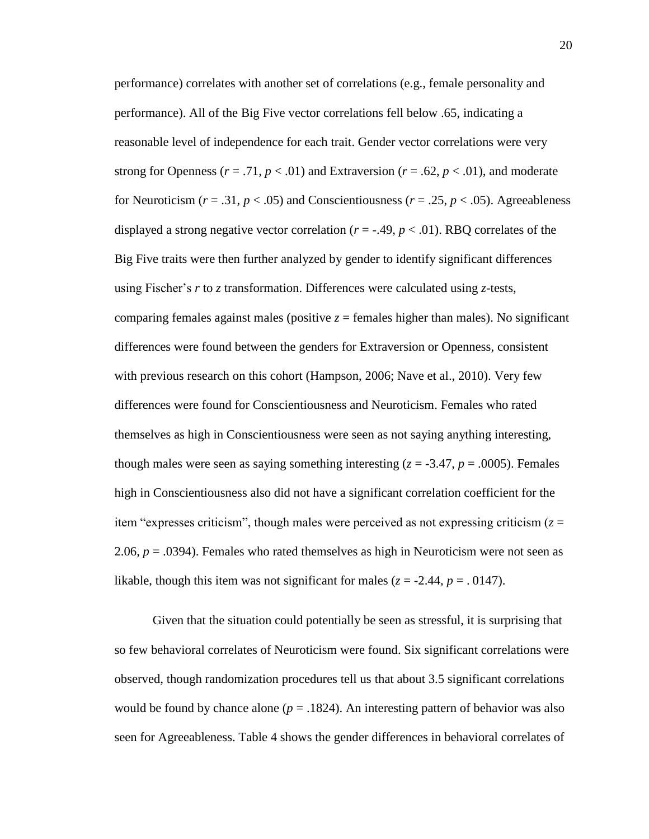performance) correlates with another set of correlations (e.g., female personality and performance). All of the Big Five vector correlations fell below .65, indicating a reasonable level of independence for each trait. Gender vector correlations were very strong for Openness ( $r = .71$ ,  $p < .01$ ) and Extraversion ( $r = .62$ ,  $p < .01$ ), and moderate for Neuroticism ( $r = .31$ ,  $p < .05$ ) and Conscientiousness ( $r = .25$ ,  $p < .05$ ). Agreeableness displayed a strong negative vector correlation ( $r = -.49$ ,  $p < .01$ ). RBQ correlates of the Big Five traits were then further analyzed by gender to identify significant differences using Fischer's *r* to *z* transformation. Differences were calculated using *z*-tests, comparing females against males (positive  $z =$  females higher than males). No significant differences were found between the genders for Extraversion or Openness, consistent with previous research on this cohort (Hampson, 2006; Nave et al., 2010). Very few differences were found for Conscientiousness and Neuroticism. Females who rated themselves as high in Conscientiousness were seen as not saying anything interesting, though males were seen as saying something interesting  $(z = -3.47, p = .0005)$ . Females high in Conscientiousness also did not have a significant correlation coefficient for the item "expresses criticism", though males were perceived as not expressing criticism  $(z =$ 2.06,  $p = 0.0394$ ). Females who rated themselves as high in Neuroticism were not seen as likable, though this item was not significant for males ( $z = -2.44$ ,  $p = 0.0147$ ).

Given that the situation could potentially be seen as stressful, it is surprising that so few behavioral correlates of Neuroticism were found. Six significant correlations were observed, though randomization procedures tell us that about 3.5 significant correlations would be found by chance alone  $(p = .1824)$ . An interesting pattern of behavior was also seen for Agreeableness. Table 4 shows the gender differences in behavioral correlates of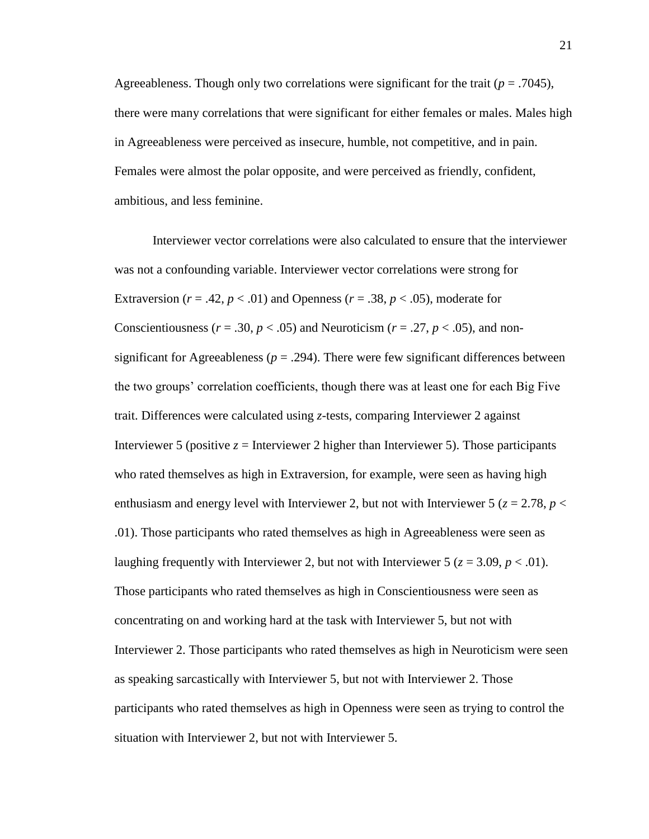Agreeableness. Though only two correlations were significant for the trait ( $p = .7045$ ), there were many correlations that were significant for either females or males. Males high in Agreeableness were perceived as insecure, humble, not competitive, and in pain. Females were almost the polar opposite, and were perceived as friendly, confident, ambitious, and less feminine.

Interviewer vector correlations were also calculated to ensure that the interviewer was not a confounding variable. Interviewer vector correlations were strong for Extraversion ( $r = .42$ ,  $p < .01$ ) and Openness ( $r = .38$ ,  $p < .05$ ), moderate for Conscientiousness ( $r = .30$ ,  $p < .05$ ) and Neuroticism ( $r = .27$ ,  $p < .05$ ), and nonsignificant for Agreeableness ( $p = .294$ ). There were few significant differences between the two groups' correlation coefficients, though there was at least one for each Big Five trait. Differences were calculated using *z*-tests, comparing Interviewer 2 against Interviewer 5 (positive  $z =$  Interviewer 2 higher than Interviewer 5). Those participants who rated themselves as high in Extraversion, for example, were seen as having high enthusiasm and energy level with Interviewer 2, but not with Interviewer 5 ( $z = 2.78$ ,  $p <$ .01). Those participants who rated themselves as high in Agreeableness were seen as laughing frequently with Interviewer 2, but not with Interviewer 5 ( $z = 3.09$ ,  $p < .01$ ). Those participants who rated themselves as high in Conscientiousness were seen as concentrating on and working hard at the task with Interviewer 5, but not with Interviewer 2. Those participants who rated themselves as high in Neuroticism were seen as speaking sarcastically with Interviewer 5, but not with Interviewer 2. Those participants who rated themselves as high in Openness were seen as trying to control the situation with Interviewer 2, but not with Interviewer 5.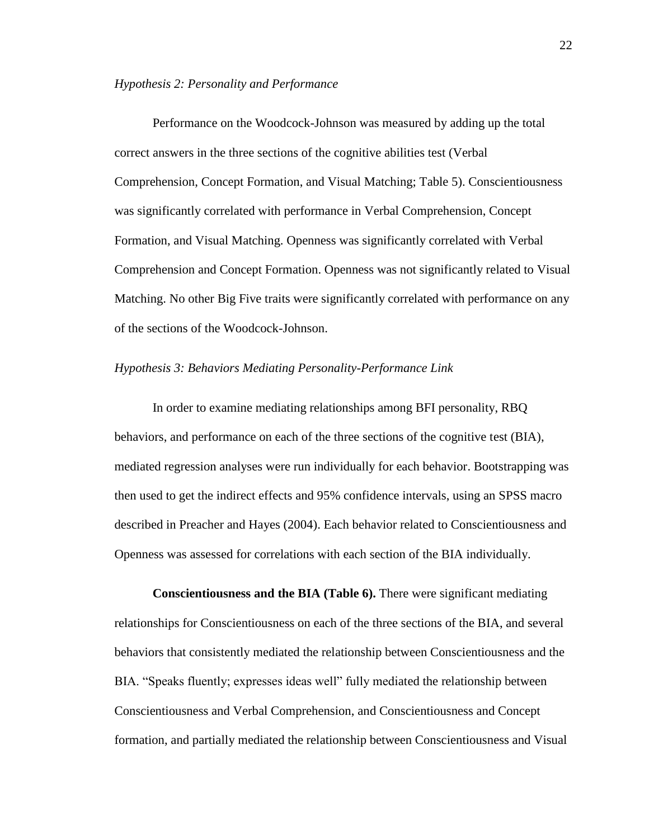#### *Hypothesis 2: Personality and Performance*

Performance on the Woodcock-Johnson was measured by adding up the total correct answers in the three sections of the cognitive abilities test (Verbal Comprehension, Concept Formation, and Visual Matching; Table 5). Conscientiousness was significantly correlated with performance in Verbal Comprehension, Concept Formation, and Visual Matching. Openness was significantly correlated with Verbal Comprehension and Concept Formation. Openness was not significantly related to Visual Matching. No other Big Five traits were significantly correlated with performance on any of the sections of the Woodcock-Johnson.

#### *Hypothesis 3: Behaviors Mediating Personality-Performance Link*

In order to examine mediating relationships among BFI personality, RBQ behaviors, and performance on each of the three sections of the cognitive test (BIA), mediated regression analyses were run individually for each behavior. Bootstrapping was then used to get the indirect effects and 95% confidence intervals, using an SPSS macro described in Preacher and Hayes (2004). Each behavior related to Conscientiousness and Openness was assessed for correlations with each section of the BIA individually.

**Conscientiousness and the BIA (Table 6).** There were significant mediating relationships for Conscientiousness on each of the three sections of the BIA, and several behaviors that consistently mediated the relationship between Conscientiousness and the BIA. "Speaks fluently; expresses ideas well" fully mediated the relationship between Conscientiousness and Verbal Comprehension, and Conscientiousness and Concept formation, and partially mediated the relationship between Conscientiousness and Visual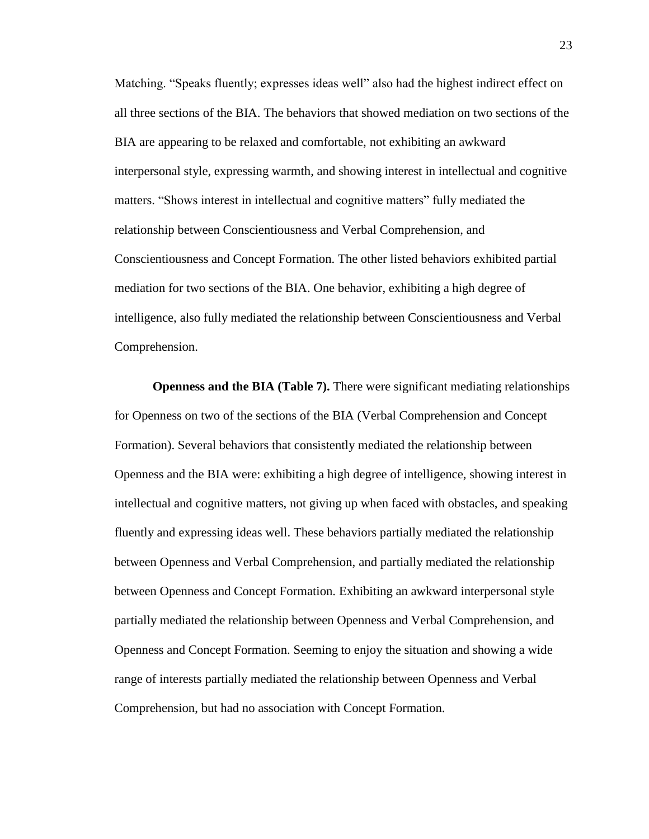Matching. "Speaks fluently; expresses ideas well" also had the highest indirect effect on all three sections of the BIA. The behaviors that showed mediation on two sections of the BIA are appearing to be relaxed and comfortable, not exhibiting an awkward interpersonal style, expressing warmth, and showing interest in intellectual and cognitive matters. "Shows interest in intellectual and cognitive matters" fully mediated the relationship between Conscientiousness and Verbal Comprehension, and Conscientiousness and Concept Formation. The other listed behaviors exhibited partial mediation for two sections of the BIA. One behavior, exhibiting a high degree of intelligence, also fully mediated the relationship between Conscientiousness and Verbal Comprehension.

**Openness and the BIA (Table 7).** There were significant mediating relationships for Openness on two of the sections of the BIA (Verbal Comprehension and Concept Formation). Several behaviors that consistently mediated the relationship between Openness and the BIA were: exhibiting a high degree of intelligence, showing interest in intellectual and cognitive matters, not giving up when faced with obstacles, and speaking fluently and expressing ideas well. These behaviors partially mediated the relationship between Openness and Verbal Comprehension, and partially mediated the relationship between Openness and Concept Formation. Exhibiting an awkward interpersonal style partially mediated the relationship between Openness and Verbal Comprehension, and Openness and Concept Formation. Seeming to enjoy the situation and showing a wide range of interests partially mediated the relationship between Openness and Verbal Comprehension, but had no association with Concept Formation.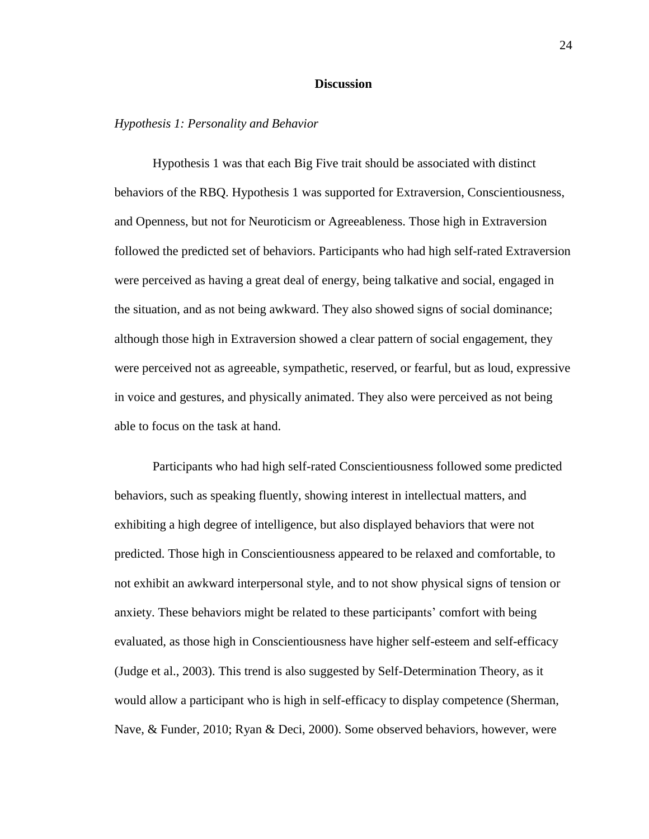#### **Discussion**

#### *Hypothesis 1: Personality and Behavior*

Hypothesis 1 was that each Big Five trait should be associated with distinct behaviors of the RBQ. Hypothesis 1 was supported for Extraversion, Conscientiousness, and Openness, but not for Neuroticism or Agreeableness. Those high in Extraversion followed the predicted set of behaviors. Participants who had high self-rated Extraversion were perceived as having a great deal of energy, being talkative and social, engaged in the situation, and as not being awkward. They also showed signs of social dominance; although those high in Extraversion showed a clear pattern of social engagement, they were perceived not as agreeable, sympathetic, reserved, or fearful, but as loud, expressive in voice and gestures, and physically animated. They also were perceived as not being able to focus on the task at hand.

Participants who had high self-rated Conscientiousness followed some predicted behaviors, such as speaking fluently, showing interest in intellectual matters, and exhibiting a high degree of intelligence, but also displayed behaviors that were not predicted. Those high in Conscientiousness appeared to be relaxed and comfortable, to not exhibit an awkward interpersonal style, and to not show physical signs of tension or anxiety. These behaviors might be related to these participants' comfort with being evaluated, as those high in Conscientiousness have higher self-esteem and self-efficacy (Judge et al., 2003). This trend is also suggested by Self-Determination Theory, as it would allow a participant who is high in self-efficacy to display competence (Sherman, Nave, & Funder, 2010; Ryan & Deci, 2000). Some observed behaviors, however, were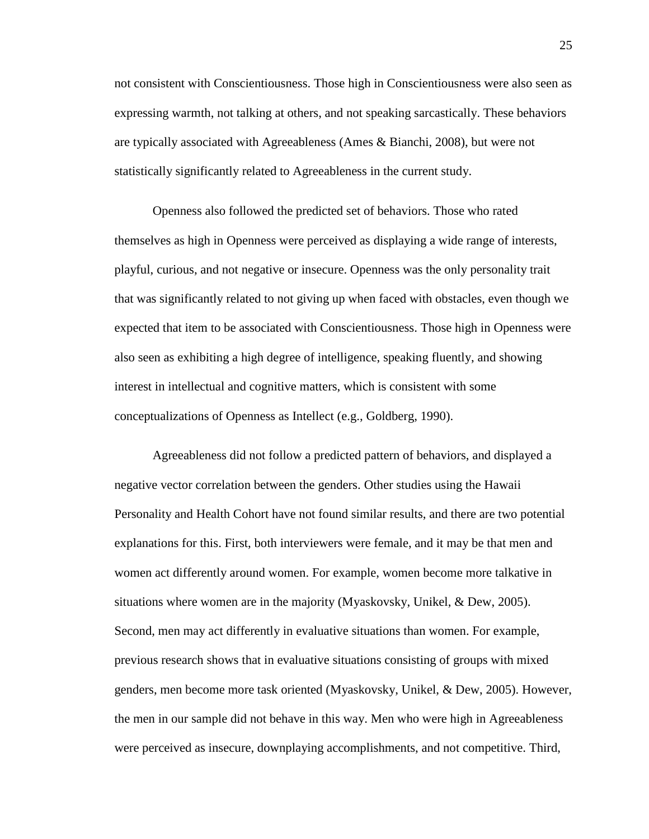not consistent with Conscientiousness. Those high in Conscientiousness were also seen as expressing warmth, not talking at others, and not speaking sarcastically. These behaviors are typically associated with Agreeableness (Ames & Bianchi, 2008), but were not statistically significantly related to Agreeableness in the current study.

Openness also followed the predicted set of behaviors. Those who rated themselves as high in Openness were perceived as displaying a wide range of interests, playful, curious, and not negative or insecure. Openness was the only personality trait that was significantly related to not giving up when faced with obstacles, even though we expected that item to be associated with Conscientiousness. Those high in Openness were also seen as exhibiting a high degree of intelligence, speaking fluently, and showing interest in intellectual and cognitive matters, which is consistent with some conceptualizations of Openness as Intellect (e.g., Goldberg, 1990).

Agreeableness did not follow a predicted pattern of behaviors, and displayed a negative vector correlation between the genders. Other studies using the Hawaii Personality and Health Cohort have not found similar results, and there are two potential explanations for this. First, both interviewers were female, and it may be that men and women act differently around women. For example, women become more talkative in situations where women are in the majority (Myaskovsky, Unikel, & Dew, 2005). Second, men may act differently in evaluative situations than women. For example, previous research shows that in evaluative situations consisting of groups with mixed genders, men become more task oriented (Myaskovsky, Unikel, & Dew, 2005). However, the men in our sample did not behave in this way. Men who were high in Agreeableness were perceived as insecure, downplaying accomplishments, and not competitive. Third,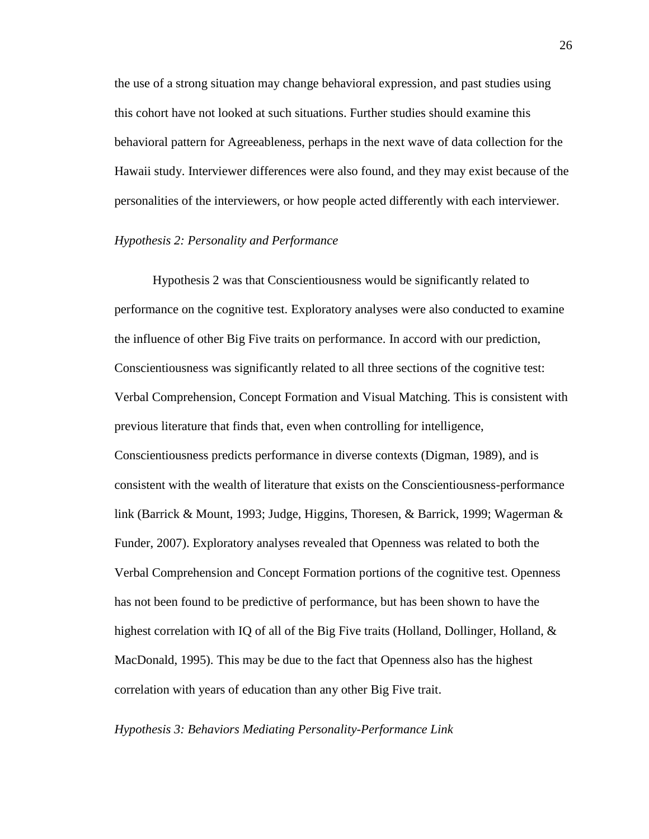the use of a strong situation may change behavioral expression, and past studies using this cohort have not looked at such situations. Further studies should examine this behavioral pattern for Agreeableness, perhaps in the next wave of data collection for the Hawaii study. Interviewer differences were also found, and they may exist because of the personalities of the interviewers, or how people acted differently with each interviewer.

#### *Hypothesis 2: Personality and Performance*

Hypothesis 2 was that Conscientiousness would be significantly related to performance on the cognitive test. Exploratory analyses were also conducted to examine the influence of other Big Five traits on performance. In accord with our prediction, Conscientiousness was significantly related to all three sections of the cognitive test: Verbal Comprehension, Concept Formation and Visual Matching. This is consistent with previous literature that finds that, even when controlling for intelligence, Conscientiousness predicts performance in diverse contexts (Digman, 1989), and is consistent with the wealth of literature that exists on the Conscientiousness-performance link (Barrick & Mount, 1993; Judge, Higgins, Thoresen, & Barrick, 1999; Wagerman & Funder, 2007). Exploratory analyses revealed that Openness was related to both the Verbal Comprehension and Concept Formation portions of the cognitive test. Openness has not been found to be predictive of performance, but has been shown to have the highest correlation with IQ of all of the Big Five traits (Holland, Dollinger, Holland, & MacDonald, 1995). This may be due to the fact that Openness also has the highest correlation with years of education than any other Big Five trait.

#### *Hypothesis 3: Behaviors Mediating Personality-Performance Link*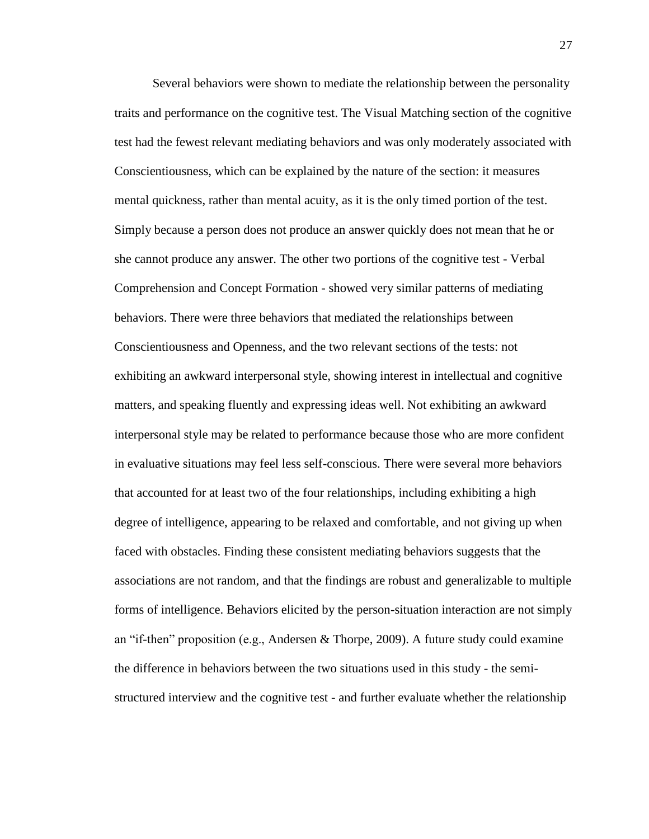Several behaviors were shown to mediate the relationship between the personality traits and performance on the cognitive test. The Visual Matching section of the cognitive test had the fewest relevant mediating behaviors and was only moderately associated with Conscientiousness, which can be explained by the nature of the section: it measures mental quickness, rather than mental acuity, as it is the only timed portion of the test. Simply because a person does not produce an answer quickly does not mean that he or she cannot produce any answer. The other two portions of the cognitive test - Verbal Comprehension and Concept Formation - showed very similar patterns of mediating behaviors. There were three behaviors that mediated the relationships between Conscientiousness and Openness, and the two relevant sections of the tests: not exhibiting an awkward interpersonal style, showing interest in intellectual and cognitive matters, and speaking fluently and expressing ideas well. Not exhibiting an awkward interpersonal style may be related to performance because those who are more confident in evaluative situations may feel less self-conscious. There were several more behaviors that accounted for at least two of the four relationships, including exhibiting a high degree of intelligence, appearing to be relaxed and comfortable, and not giving up when faced with obstacles. Finding these consistent mediating behaviors suggests that the associations are not random, and that the findings are robust and generalizable to multiple forms of intelligence. Behaviors elicited by the person-situation interaction are not simply an "if-then" proposition (e.g., Andersen & Thorpe, 2009). A future study could examine the difference in behaviors between the two situations used in this study - the semistructured interview and the cognitive test - and further evaluate whether the relationship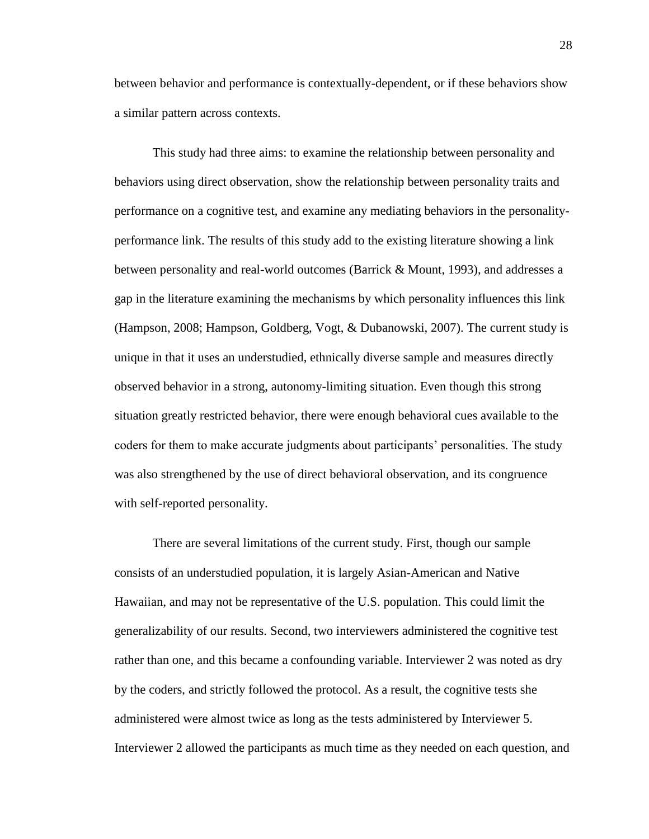between behavior and performance is contextually-dependent, or if these behaviors show a similar pattern across contexts.

This study had three aims: to examine the relationship between personality and behaviors using direct observation, show the relationship between personality traits and performance on a cognitive test, and examine any mediating behaviors in the personalityperformance link. The results of this study add to the existing literature showing a link between personality and real-world outcomes (Barrick & Mount, 1993), and addresses a gap in the literature examining the mechanisms by which personality influences this link (Hampson, 2008; Hampson, Goldberg, Vogt, & Dubanowski, 2007). The current study is unique in that it uses an understudied, ethnically diverse sample and measures directly observed behavior in a strong, autonomy-limiting situation. Even though this strong situation greatly restricted behavior, there were enough behavioral cues available to the coders for them to make accurate judgments about participants' personalities. The study was also strengthened by the use of direct behavioral observation, and its congruence with self-reported personality.

There are several limitations of the current study. First, though our sample consists of an understudied population, it is largely Asian-American and Native Hawaiian, and may not be representative of the U.S. population. This could limit the generalizability of our results. Second, two interviewers administered the cognitive test rather than one, and this became a confounding variable. Interviewer 2 was noted as dry by the coders, and strictly followed the protocol. As a result, the cognitive tests she administered were almost twice as long as the tests administered by Interviewer 5. Interviewer 2 allowed the participants as much time as they needed on each question, and

28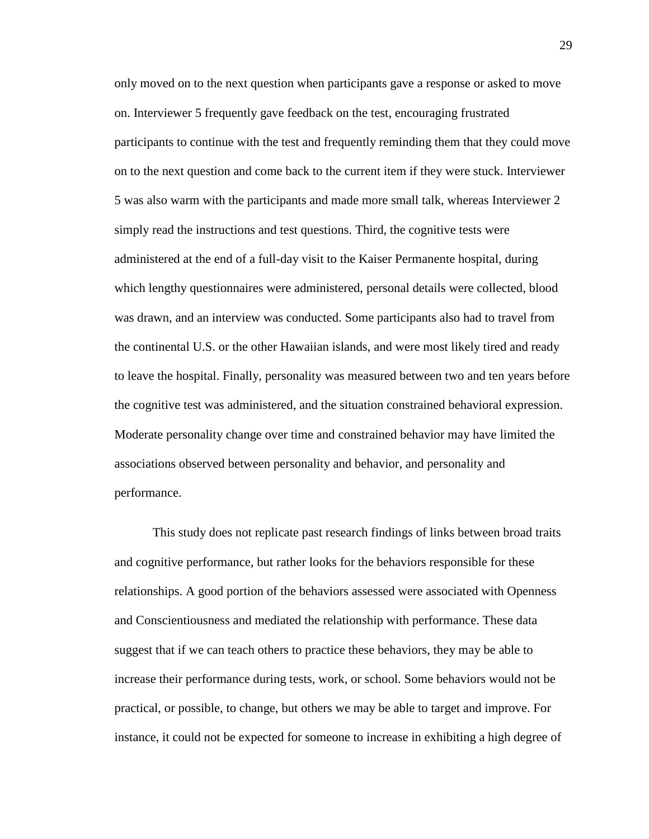only moved on to the next question when participants gave a response or asked to move on. Interviewer 5 frequently gave feedback on the test, encouraging frustrated participants to continue with the test and frequently reminding them that they could move on to the next question and come back to the current item if they were stuck. Interviewer 5 was also warm with the participants and made more small talk, whereas Interviewer 2 simply read the instructions and test questions. Third, the cognitive tests were administered at the end of a full-day visit to the Kaiser Permanente hospital, during which lengthy questionnaires were administered, personal details were collected, blood was drawn, and an interview was conducted. Some participants also had to travel from the continental U.S. or the other Hawaiian islands, and were most likely tired and ready to leave the hospital. Finally, personality was measured between two and ten years before the cognitive test was administered, and the situation constrained behavioral expression. Moderate personality change over time and constrained behavior may have limited the associations observed between personality and behavior, and personality and performance.

This study does not replicate past research findings of links between broad traits and cognitive performance, but rather looks for the behaviors responsible for these relationships. A good portion of the behaviors assessed were associated with Openness and Conscientiousness and mediated the relationship with performance. These data suggest that if we can teach others to practice these behaviors, they may be able to increase their performance during tests, work, or school. Some behaviors would not be practical, or possible, to change, but others we may be able to target and improve. For instance, it could not be expected for someone to increase in exhibiting a high degree of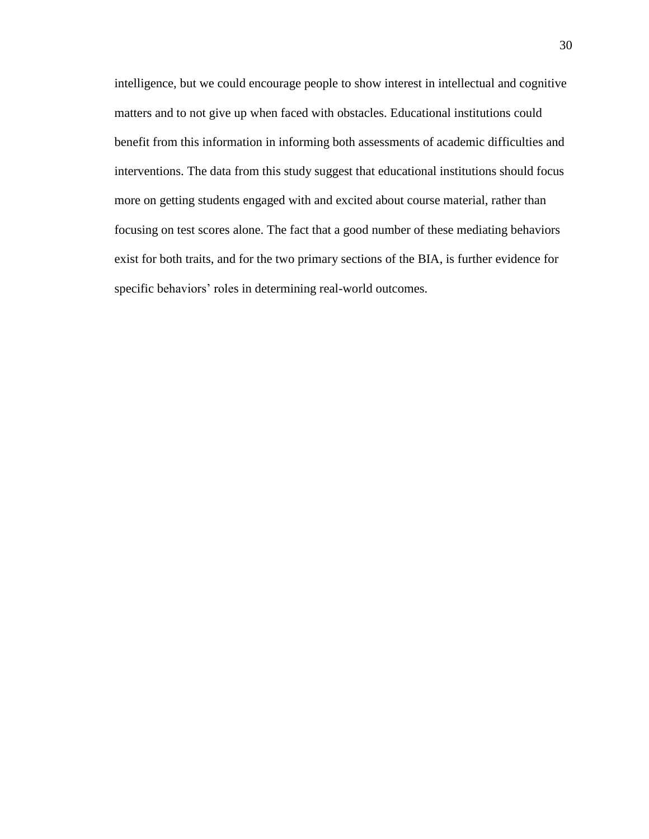intelligence, but we could encourage people to show interest in intellectual and cognitive matters and to not give up when faced with obstacles. Educational institutions could benefit from this information in informing both assessments of academic difficulties and interventions. The data from this study suggest that educational institutions should focus more on getting students engaged with and excited about course material, rather than focusing on test scores alone. The fact that a good number of these mediating behaviors exist for both traits, and for the two primary sections of the BIA, is further evidence for specific behaviors' roles in determining real-world outcomes.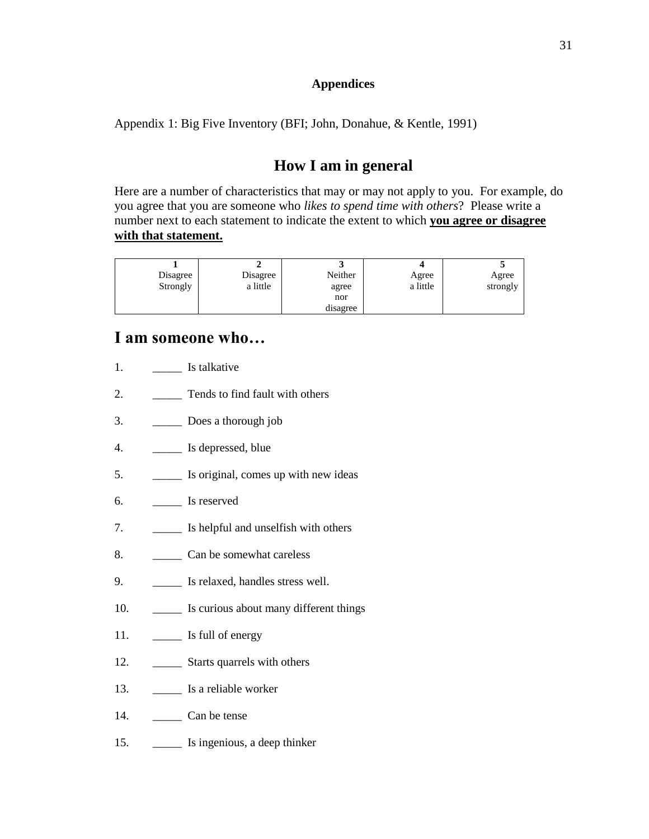### **Appendices**

Appendix 1: Big Five Inventory (BFI; John, Donahue, & Kentle, 1991)

# **How I am in general**

Here are a number of characteristics that may or may not apply to you. For example, do you agree that you are someone who *likes to spend time with others*? Please write a number next to each statement to indicate the extent to which **you agree or disagree with that statement.**

| Disagree | Disagree | Neither  | Agree    | Agree    |
|----------|----------|----------|----------|----------|
| Strongly | a little | agree    | a little | strongly |
|          |          | nor      |          |          |
|          |          | disagree |          |          |

## **I am someone who…**

| 1.  | Is talkative                           |
|-----|----------------------------------------|
| 2.  | Tends to find fault with others        |
| 3.  | Does a thorough job                    |
| 4.  | Is depressed, blue                     |
| 5.  | Is original, comes up with new ideas   |
| 6.  | Is reserved                            |
| 7.  | Is helpful and unselfish with others   |
| 8.  | Can be somewhat careless               |
| 9.  | Is relaxed, handles stress well.       |
| 10. | Is curious about many different things |
| 11. | Is full of energy                      |
| 12. | Starts quarrels with others            |
| 13. | Is a reliable worker                   |
| 14. | Can be tense                           |
| 15. | Is ingenious, a deep thinker           |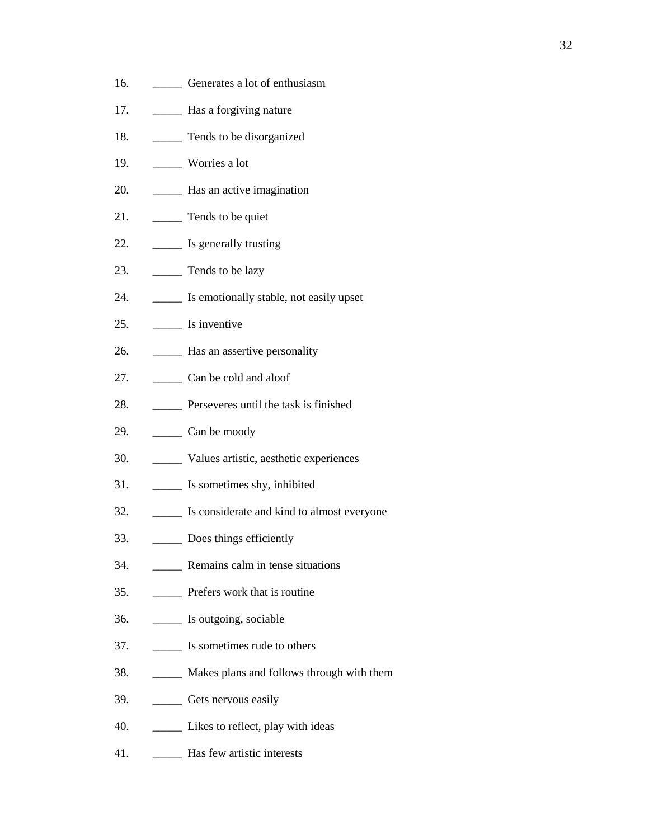- 16. **Generates a lot of enthusiasm**
- 17. \_\_\_\_\_ Has a forgiving nature
- 18. \_\_\_\_\_\_\_\_ Tends to be disorganized
- 19. \_\_\_\_\_ Worries a lot
- 20. **\_\_\_\_\_** Has an active imagination
- 21. \_\_\_\_\_ Tends to be quiet
- 22. \_\_\_\_\_ Is generally trusting
- 23. \_\_\_\_\_\_\_ Tends to be lazy
- 24. **IS EXECUTE:** Is emotionally stable, not easily upset
- 25. \_\_\_\_\_ Is inventive
- 26. **\_\_\_\_\_** Has an assertive personality
- 27. \_\_\_\_\_ Can be cold and aloof
- 28. \_\_\_\_\_ Perseveres until the task is finished
- 29. \_\_\_\_\_ Can be moody
- 30. \_\_\_\_\_ Values artistic, aesthetic experiences
- 31. \_\_\_\_\_ Is sometimes shy, inhibited
- 32. \_\_\_\_\_ Is considerate and kind to almost everyone
- 33. \_\_\_\_\_ Does things efficiently
- 34. \_\_\_\_\_ Remains calm in tense situations
- 35. \_\_\_\_\_ Prefers work that is routine
- 36. \_\_\_\_\_ Is outgoing, sociable
- 37. \_\_\_\_\_ Is sometimes rude to others
- 38. \_\_\_\_\_ Makes plans and follows through with them
- 39. \_\_\_\_\_ Gets nervous easily
- 40. **\_\_\_\_\_** Likes to reflect, play with ideas
- 41. \_\_\_\_\_ Has few artistic interests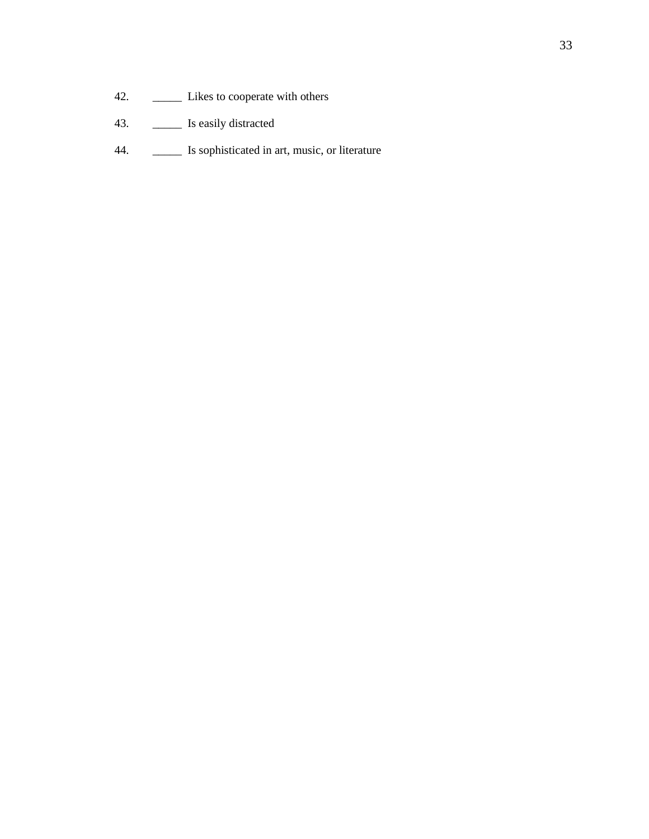- 42. **\_\_\_\_\_** Likes to cooperate with others
- 43. \_\_\_\_\_ Is easily distracted
- 44. **\_\_\_\_\_** Is sophisticated in art, music, or literature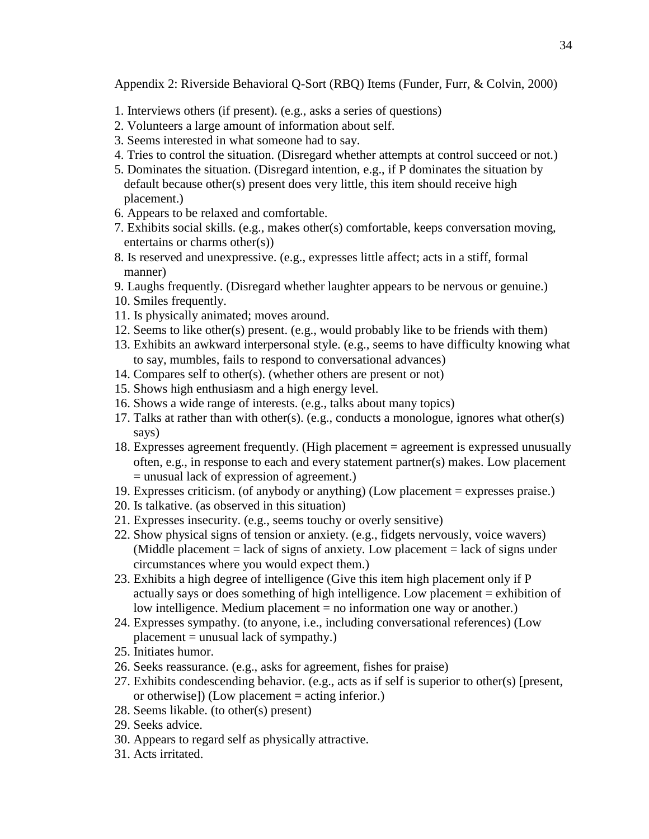Appendix 2: Riverside Behavioral Q-Sort (RBQ) Items (Funder, Furr, & Colvin, 2000)

- 1. Interviews others (if present). (e.g., asks a series of questions)
- 2. Volunteers a large amount of information about self.
- 3. Seems interested in what someone had to say.
- 4. Tries to control the situation. (Disregard whether attempts at control succeed or not.)
- 5. Dominates the situation. (Disregard intention, e.g., if P dominates the situation by default because other(s) present does very little, this item should receive high placement.)
- 6. Appears to be relaxed and comfortable.
- 7. Exhibits social skills. (e.g., makes other(s) comfortable, keeps conversation moving, entertains or charms other(s))
- 8. Is reserved and unexpressive. (e.g., expresses little affect; acts in a stiff, formal manner)
- 9. Laughs frequently. (Disregard whether laughter appears to be nervous or genuine.)
- 10. Smiles frequently.
- 11. Is physically animated; moves around.
- 12. Seems to like other(s) present. (e.g., would probably like to be friends with them)
- 13. Exhibits an awkward interpersonal style. (e.g., seems to have difficulty knowing what to say, mumbles, fails to respond to conversational advances)
- 14. Compares self to other(s). (whether others are present or not)
- 15. Shows high enthusiasm and a high energy level.
- 16. Shows a wide range of interests. (e.g., talks about many topics)
- 17. Talks at rather than with other(s). (e.g., conducts a monologue, ignores what other(s) says)
- 18. Expresses agreement frequently. (High placement = agreement is expressed unusually often, e.g., in response to each and every statement partner(s) makes. Low placement = unusual lack of expression of agreement.)
- 19. Expresses criticism. (of anybody or anything) (Low placement = expresses praise.)
- 20. Is talkative. (as observed in this situation)
- 21. Expresses insecurity. (e.g., seems touchy or overly sensitive)
- 22. Show physical signs of tension or anxiety. (e.g., fidgets nervously, voice wavers) (Middle placement  $=$  lack of signs of anxiety. Low placement  $=$  lack of signs under circumstances where you would expect them.)
- 23. Exhibits a high degree of intelligence (Give this item high placement only if P actually says or does something of high intelligence. Low placement = exhibition of low intelligence. Medium placement = no information one way or another.)
- 24. Expresses sympathy. (to anyone, i.e., including conversational references) (Low  $placement = unusual lack of symptom.$
- 25. Initiates humor.
- 26. Seeks reassurance. (e.g., asks for agreement, fishes for praise)
- 27. Exhibits condescending behavior. (e.g., acts as if self is superior to other(s) [present, or otherwise]) (Low placement  $=$  acting inferior.)
- 28. Seems likable. (to other(s) present)
- 29. Seeks advice.
- 30. Appears to regard self as physically attractive.
- 31. Acts irritated.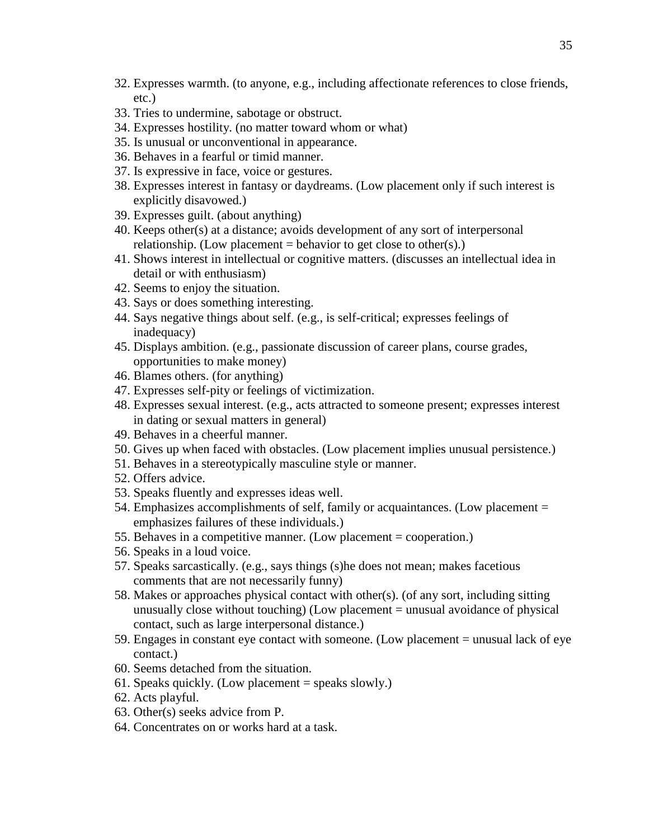- 32. Expresses warmth. (to anyone, e.g., including affectionate references to close friends, etc.)
- 33. Tries to undermine, sabotage or obstruct.
- 34. Expresses hostility. (no matter toward whom or what)
- 35. Is unusual or unconventional in appearance.
- 36. Behaves in a fearful or timid manner.
- 37. Is expressive in face, voice or gestures.
- 38. Expresses interest in fantasy or daydreams. (Low placement only if such interest is explicitly disavowed.)
- 39. Expresses guilt. (about anything)
- 40. Keeps other(s) at a distance; avoids development of any sort of interpersonal relationship. (Low placement  $=$  behavior to get close to other(s).)
- 41. Shows interest in intellectual or cognitive matters. (discusses an intellectual idea in detail or with enthusiasm)
- 42. Seems to enjoy the situation.
- 43. Says or does something interesting.
- 44. Says negative things about self. (e.g., is self-critical; expresses feelings of inadequacy)
- 45. Displays ambition. (e.g., passionate discussion of career plans, course grades, opportunities to make money)
- 46. Blames others. (for anything)
- 47. Expresses self-pity or feelings of victimization.
- 48. Expresses sexual interest. (e.g., acts attracted to someone present; expresses interest in dating or sexual matters in general)
- 49. Behaves in a cheerful manner.
- 50. Gives up when faced with obstacles. (Low placement implies unusual persistence.)
- 51. Behaves in a stereotypically masculine style or manner.
- 52. Offers advice.
- 53. Speaks fluently and expresses ideas well.
- 54. Emphasizes accomplishments of self, family or acquaintances. (Low placement = emphasizes failures of these individuals.)
- 55. Behaves in a competitive manner. (Low placement = cooperation.)
- 56. Speaks in a loud voice.
- 57. Speaks sarcastically. (e.g., says things (s)he does not mean; makes facetious comments that are not necessarily funny)
- 58. Makes or approaches physical contact with other(s). (of any sort, including sitting unusually close without touching) (Low placement = unusual avoidance of physical contact, such as large interpersonal distance.)
- 59. Engages in constant eye contact with someone. (Low placement = unusual lack of eye contact.)
- 60. Seems detached from the situation.
- 61. Speaks quickly. (Low placement = speaks slowly.)
- 62. Acts playful.
- 63. Other(s) seeks advice from P.
- 64. Concentrates on or works hard at a task.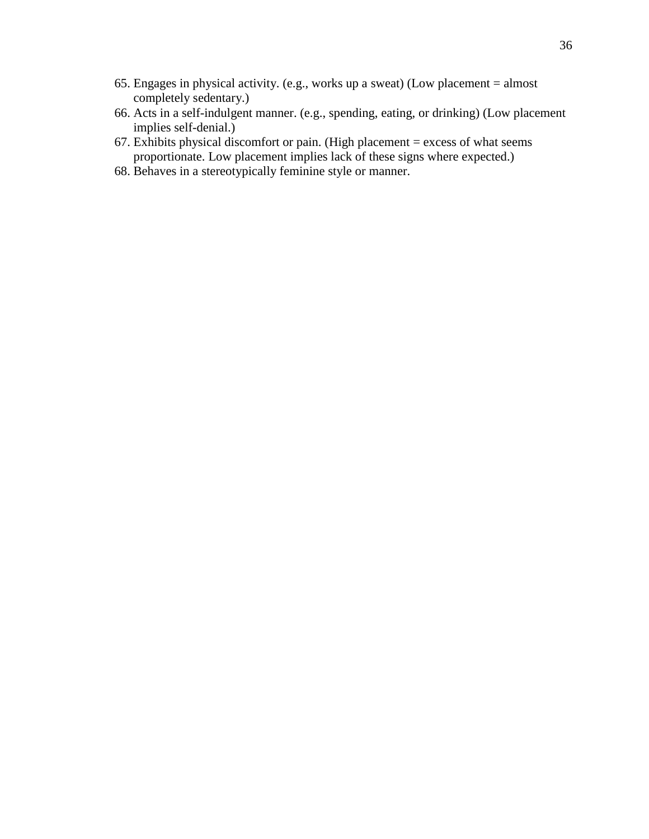- 65. Engages in physical activity. (e.g., works up a sweat) (Low placement = almost completely sedentary.)
- 66. Acts in a self-indulgent manner. (e.g., spending, eating, or drinking) (Low placement implies self-denial.)
- 67. Exhibits physical discomfort or pain. (High placement  $=$  excess of what seems proportionate. Low placement implies lack of these signs where expected.)
- 68. Behaves in a stereotypically feminine style or manner.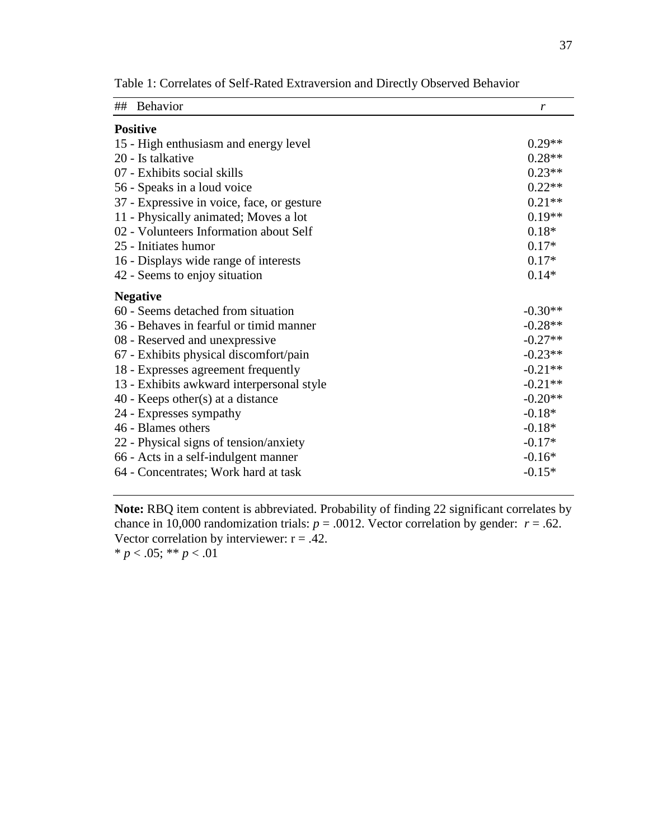| ## Behavior                                | r         |
|--------------------------------------------|-----------|
| <b>Positive</b>                            |           |
| 15 - High enthusiasm and energy level      | $0.29**$  |
| 20 - Is talkative                          | $0.28**$  |
| 07 - Exhibits social skills                | $0.23**$  |
| 56 - Speaks in a loud voice                | $0.22**$  |
| 37 - Expressive in voice, face, or gesture | $0.21**$  |
| 11 - Physically animated; Moves a lot      | $0.19**$  |
| 02 - Volunteers Information about Self     | $0.18*$   |
| 25 - Initiates humor                       | $0.17*$   |
| 16 - Displays wide range of interests      | $0.17*$   |
| 42 - Seems to enjoy situation              | $0.14*$   |
| <b>Negative</b>                            |           |
| 60 - Seems detached from situation         | $-0.30**$ |
| 36 - Behaves in fearful or timid manner    | $-0.28**$ |
| 08 - Reserved and unexpressive             | $-0.27**$ |
| 67 - Exhibits physical discomfort/pain     | $-0.23**$ |
| 18 - Expresses agreement frequently        | $-0.21**$ |
| 13 - Exhibits awkward interpersonal style  | $-0.21**$ |
| $40$ - Keeps other(s) at a distance        | $-0.20**$ |
| 24 - Expresses sympathy                    | $-0.18*$  |
| 46 - Blames others                         | $-0.18*$  |
| 22 - Physical signs of tension/anxiety     | $-0.17*$  |
| 66 - Acts in a self-indulgent manner       | $-0.16*$  |
| 64 - Concentrates; Work hard at task       | $-0.15*$  |

Table 1: Correlates of Self-Rated Extraversion and Directly Observed Behavior

**Note:** RBQ item content is abbreviated. Probability of finding 22 significant correlates by chance in 10,000 randomization trials:  $p = .0012$ . Vector correlation by gender:  $r = .62$ . Vector correlation by interviewer:  $r = .42$ . \*  $p < .05$ ; \*\*  $p < .01$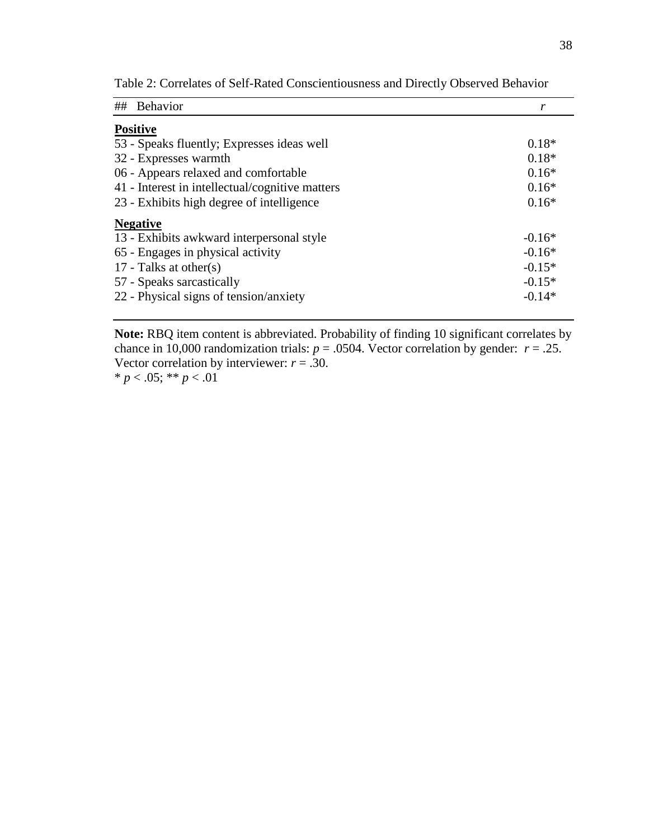| Behavior<br>##                                  | r        |
|-------------------------------------------------|----------|
| <b>Positive</b>                                 |          |
| 53 - Speaks fluently; Expresses ideas well      | $0.18*$  |
| 32 - Expresses warmth                           | $0.18*$  |
| 06 - Appears relaxed and comfortable            | $0.16*$  |
| 41 - Interest in intellectual/cognitive matters | $0.16*$  |
| 23 - Exhibits high degree of intelligence       | $0.16*$  |
| <b>Negative</b>                                 |          |
| 13 - Exhibits awkward interpersonal style       | $-0.16*$ |
| 65 - Engages in physical activity               | $-0.16*$ |
| 17 - Talks at other(s)                          | $-0.15*$ |
| 57 - Speaks sarcastically                       | $-0.15*$ |
| 22 - Physical signs of tension/anxiety          | $-0.14*$ |

Table 2: Correlates of Self-Rated Conscientiousness and Directly Observed Behavior

**Note:** RBQ item content is abbreviated. Probability of finding 10 significant correlates by chance in 10,000 randomization trials:  $p = .0504$ . Vector correlation by gender:  $r = .25$ . Vector correlation by interviewer:  $r = .30$ .

\*  $p < .05$ ; \*\*  $p < .01$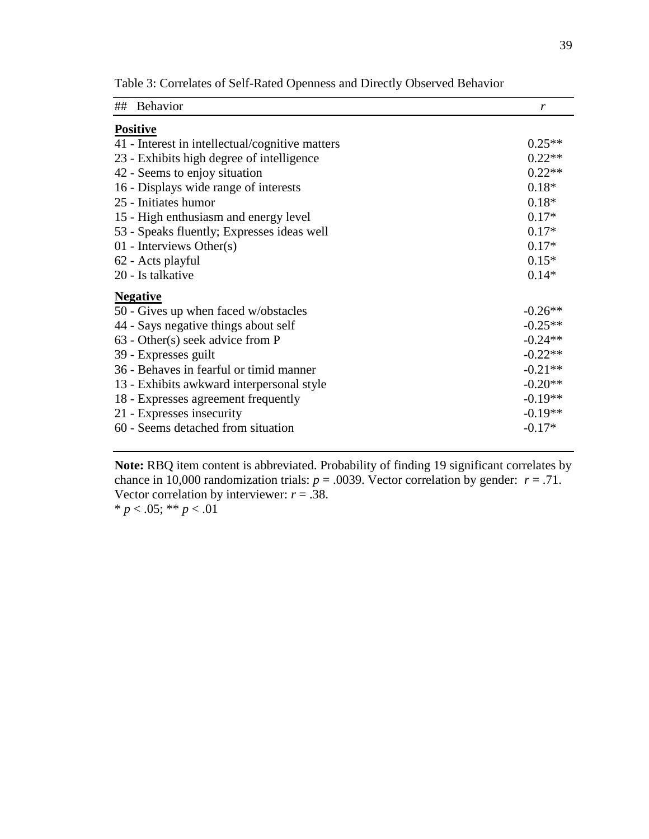| ## Behavior                                     | r         |
|-------------------------------------------------|-----------|
| <b>Positive</b>                                 |           |
| 41 - Interest in intellectual/cognitive matters | $0.25**$  |
| 23 - Exhibits high degree of intelligence       | $0.22**$  |
| 42 - Seems to enjoy situation                   | $0.22**$  |
| 16 - Displays wide range of interests           | $0.18*$   |
| 25 - Initiates humor                            | $0.18*$   |
| 15 - High enthusiasm and energy level           | $0.17*$   |
| 53 - Speaks fluently; Expresses ideas well      | $0.17*$   |
| 01 - Interviews Other $(s)$                     | $0.17*$   |
| 62 - Acts playful                               | $0.15*$   |
| 20 - Is talkative                               | $0.14*$   |
| <b>Negative</b>                                 |           |
| 50 - Gives up when faced w/obstacles            | $-0.26**$ |
| 44 - Says negative things about self            | $-0.25**$ |
| $63$ - Other(s) seek advice from P              | $-0.24**$ |
| 39 - Expresses guilt                            | $-0.22**$ |
| 36 - Behaves in fearful or timid manner         | $-0.21**$ |
| 13 - Exhibits awkward interpersonal style       | $-0.20**$ |
| 18 - Expresses agreement frequently             | $-0.19**$ |
| 21 - Expresses insecurity                       | $-0.19**$ |
| 60 - Seems detached from situation              | $-0.17*$  |

Table 3: Correlates of Self-Rated Openness and Directly Observed Behavior

**Note:** RBQ item content is abbreviated. Probability of finding 19 significant correlates by chance in 10,000 randomization trials:  $p = .0039$ . Vector correlation by gender:  $r = .71$ . Vector correlation by interviewer:  $r = .38$ . \*  $p < .05$ ; \*\*  $p < .01$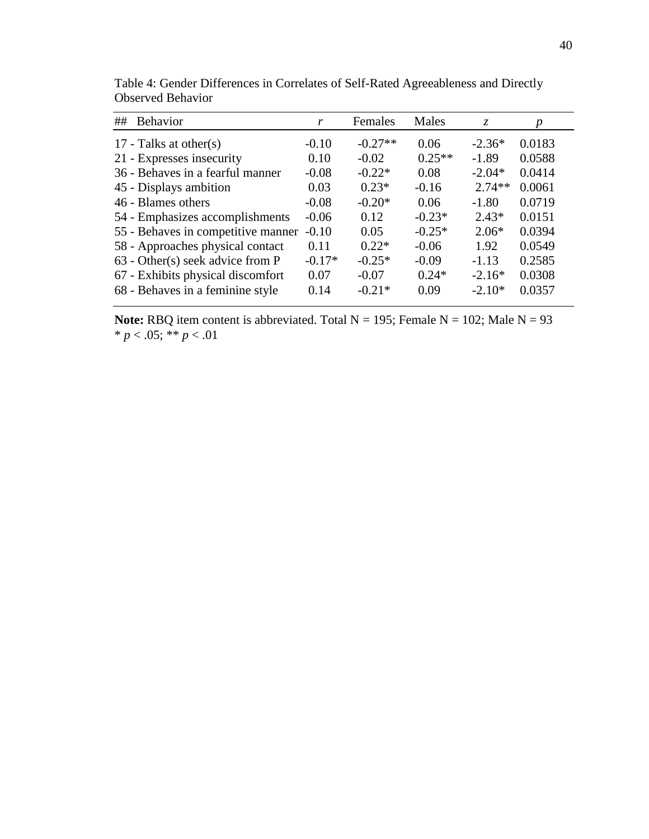| ##<br><b>Behavior</b>              | r        | Females   | Males    | Z.       | p      |
|------------------------------------|----------|-----------|----------|----------|--------|
| 17 - Talks at other(s)             | $-0.10$  | $-0.27**$ | 0.06     | $-2.36*$ | 0.0183 |
| 21 - Expresses insecurity          | 0.10     | $-0.02$   | $0.25**$ | $-1.89$  | 0.0588 |
| 36 - Behaves in a fearful manner   | $-0.08$  | $-0.22*$  | 0.08     | $-2.04*$ | 0.0414 |
| 45 - Displays ambition             | 0.03     | $0.23*$   | $-0.16$  | $2.74**$ | 0.0061 |
| 46 - Blames others                 | $-0.08$  | $-0.20*$  | 0.06     | $-1.80$  | 0.0719 |
| 54 - Emphasizes accomplishments    | $-0.06$  | 0.12      | $-0.23*$ | $2.43*$  | 0.0151 |
| 55 - Behaves in competitive manner | $-0.10$  | 0.05      | $-0.25*$ | $2.06*$  | 0.0394 |
| 58 - Approaches physical contact   | 0.11     | $0.22*$   | $-0.06$  | 1.92     | 0.0549 |
| $63$ - Other(s) seek advice from P | $-0.17*$ | $-0.25*$  | $-0.09$  | $-1.13$  | 0.2585 |
| 67 - Exhibits physical discomfort  | 0.07     | $-0.07$   | $0.24*$  | $-2.16*$ | 0.0308 |
| 68 - Behaves in a feminine style   | 0.14     | $-0.21*$  | 0.09     | $-2.10*$ | 0.0357 |

Table 4: Gender Differences in Correlates of Self-Rated Agreeableness and Directly Observed Behavior

**Note:** RBQ item content is abbreviated. Total  $N = 195$ ; Female  $N = 102$ ; Male  $N = 93$ \*  $p < .05$ ; \*\*  $p < .01$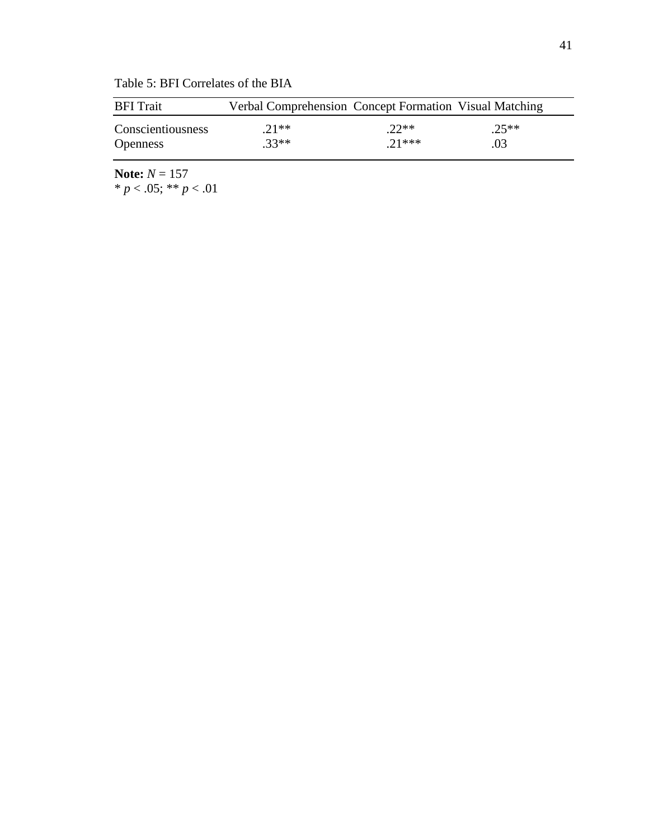| <b>BFI</b> Trait  | Verbal Comprehension Concept Formation Visual Matching |         |         |
|-------------------|--------------------------------------------------------|---------|---------|
| Conscientiousness | $21**$                                                 | $22**$  | $.25**$ |
| <b>Openness</b>   | $.33**$                                                | $21***$ | .03     |

Table 5: BFI Correlates of the BIA

**Note:** *N* = 157 \* *p* < .05; \*\* *p* < .01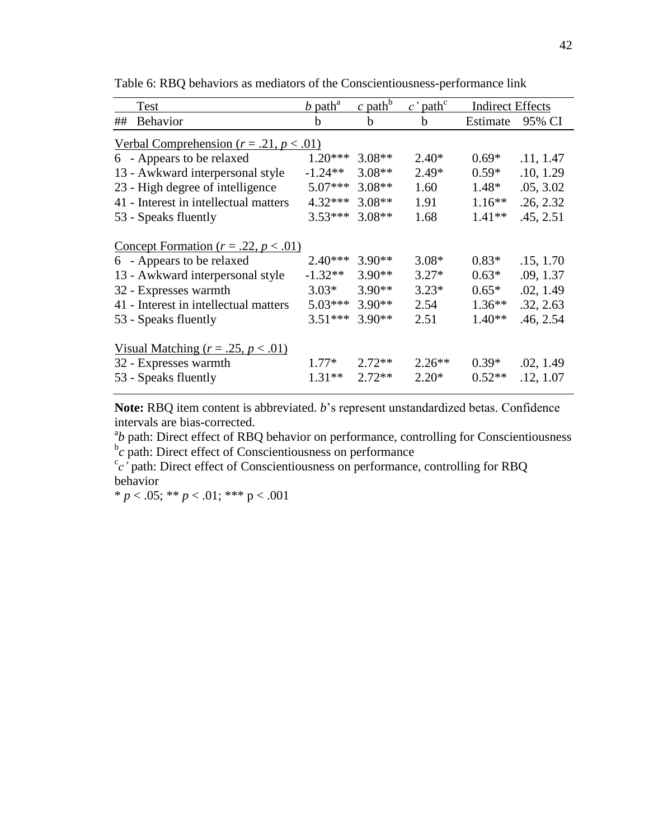|    | Test                                                                                                         | $b$ path <sup>a</sup>  | $\frac{c \text{ path}}{c}$ | $c'$ path <sup>c</sup> | <b>Indirect Effects</b> |                        |  |  |
|----|--------------------------------------------------------------------------------------------------------------|------------------------|----------------------------|------------------------|-------------------------|------------------------|--|--|
| ## | <b>Behavior</b>                                                                                              | h                      | h                          | h                      | Estimate                | 95% CI                 |  |  |
|    | <u>Verbal Comprehension (<math>r = .21</math>, <math>p &lt; .01</math>)</u>                                  |                        |                            |                        |                         |                        |  |  |
|    | 6 - Appears to be relaxed                                                                                    | $1.20***$              | $3.08**$                   | $2.40*$                | $0.69*$                 | .11, 1.47              |  |  |
|    | 13 - Awkward interpersonal style                                                                             | $-1.24**$              | $3.08**$                   | $2.49*$                | $0.59*$                 | .10, 1.29              |  |  |
|    | 23 - High degree of intelligence                                                                             | $5.07***$              | $3.08**$                   | 1.60                   | $1.48*$                 | .05, 3.02              |  |  |
|    | 41 - Interest in intellectual matters                                                                        | $4.32***$              | $3.08**$                   | 1.91                   | $1.16***$               | .26, 2.32              |  |  |
|    | 53 - Speaks fluently                                                                                         | $3.53***$              | $3.08**$                   | 1.68                   | $1.41**$                | .45, 2.51              |  |  |
|    | Concept Formation ( $r = .22$ , $p < .01$ )<br>6 - Appears to be relaxed<br>13 - Awkward interpersonal style | $2.40***$<br>$-1.32**$ | $3.90**$<br>$3.90**$       | $3.08*$<br>$3.27*$     | $0.83*$<br>$0.63*$      | .15, 1.70<br>.09, 1.37 |  |  |
|    | 32 - Expresses warmth                                                                                        | $3.03*$                | $3.90**$                   | $3.23*$                | $0.65*$                 | .02, 1.49              |  |  |
|    | 41 - Interest in intellectual matters<br>53 - Speaks fluently                                                | $5.03***$<br>$3.51***$ | $3.90**$<br>$3.90**$       | 2.54<br>2.51           | $1.36**$<br>$1.40**$    | .32, 2.63<br>.46, 2.54 |  |  |
|    | <u>Visual Matching</u> ( $r = .25$ , $p < .01$ )<br>32 - Expresses warmth<br>53 - Speaks fluently            | $1.77*$<br>$1.31**$    | $2.72**$<br>$2.72**$       | $2.26**$<br>$2.20*$    | $0.39*$<br>$0.52**$     | .02, 1.49<br>.12, 1.07 |  |  |

Table 6: RBQ behaviors as mediators of the Conscientiousness-performance link

**Note:** RBQ item content is abbreviated. *b*'s represent unstandardized betas. Confidence intervals are bias-corrected.

<sup>a</sup>b path: Direct effect of RBQ behavior on performance, controlling for Conscientiousness  $\overline{c}$  path: Direct effect of Conscientiousness on performance

<sup>c</sup>c<sup>'</sup> path: Direct effect of Conscientiousness on performance, controlling for RBQ behavior

\*  $p < .05$ ; \*\*  $p < .01$ ; \*\*\*  $p < .001$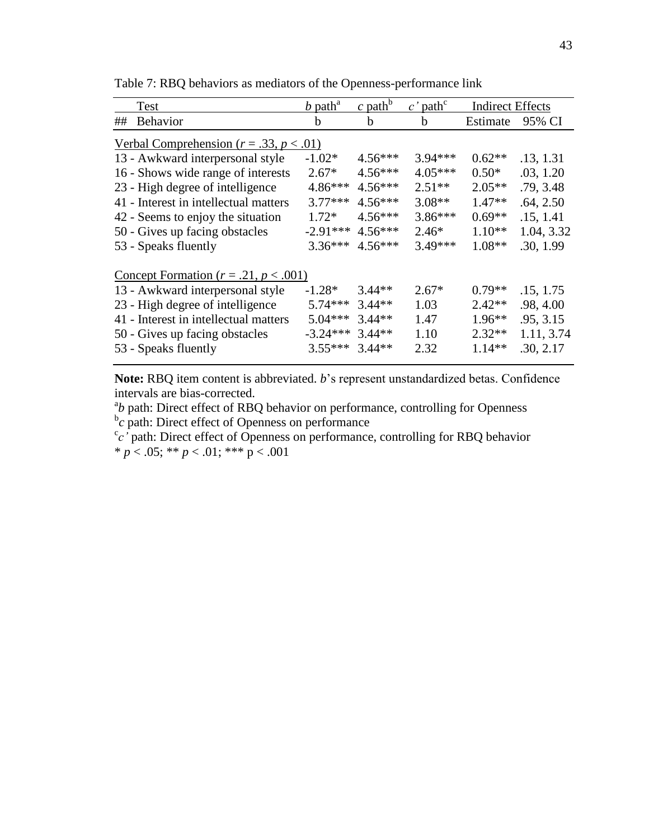| Test                                                                        | $b$ path <sup>a</sup> | c path <sup>b</sup> | path <sup>c</sup><br>$c^{\, \prime}$ | <b>Indirect Effects</b> |            |  |  |
|-----------------------------------------------------------------------------|-----------------------|---------------------|--------------------------------------|-------------------------|------------|--|--|
| <b>Behavior</b><br>##                                                       | h                     | h                   | b                                    | Estimate                | 95% CI     |  |  |
| <u>Verbal Comprehension (<math>r = .33</math>, <math>p &lt; .01</math>)</u> |                       |                     |                                      |                         |            |  |  |
| 13 - Awkward interpersonal style                                            | $-1.02*$              | $4.56***$           | 3.94***                              | $0.62**$                | .13, 1.31  |  |  |
| 16 - Shows wide range of interests                                          | $2.67*$               | $4.56***$           | $4.05***$                            | $0.50*$                 | .03, 1.20  |  |  |
| 23 - High degree of intelligence                                            | 4.86***               | $4.56***$           | $2.51**$                             | $2.05**$                | .79, 3.48  |  |  |
| 41 - Interest in intellectual matters                                       | $3.77***$             | $4.56***$           | $3.08**$                             | $1.47**$                | .64, 2.50  |  |  |
| 42 - Seems to enjoy the situation                                           | $1.72*$               | $4.56***$           | $3.86***$                            | $0.69**$                | .15, 1.41  |  |  |
| 50 - Gives up facing obstacles                                              | $-2.91***$            | $4.56***$           | $2.46*$                              | $1.10**$                | 1.04, 3.32 |  |  |
| 53 - Speaks fluently                                                        | $3.36***$             | $4.56***$           | 3.49***                              | $1.08**$                | .30, 1.99  |  |  |
| Concept Formation $(r=.21, p < .001)$                                       |                       |                     |                                      |                         |            |  |  |
| 13 - Awkward interpersonal style                                            | $-1.28*$              | $3.44**$            | $2.67*$                              | $0.79**$                | .15, 1.75  |  |  |
| 23 - High degree of intelligence                                            | $5.74***$             | $3.44**$            | 1.03                                 | $2.42**$                | .98, 4.00  |  |  |
| 41 - Interest in intellectual matters                                       | $5.04***$             | $3.44**$            | 1.47                                 | $1.96**$                | .95, 3.15  |  |  |
| 50 - Gives up facing obstacles                                              | $-3.24***$            | $3.44**$            | 1.10                                 | $2.32**$                | 1.11, 3.74 |  |  |
| 53 - Speaks fluently                                                        | $3.55***$             | $3.44**$            | 2.32                                 | $1.14**$                | .30, 2.17  |  |  |

Table 7: RBQ behaviors as mediators of the Openness-performance link

**Note:** RBQ item content is abbreviated. *b*'s represent unstandardized betas. Confidence intervals are bias-corrected.

<sup>a</sup>b path: Direct effect of RBQ behavior on performance, controlling for Openness <sup>b</sup>c path: Direct effect of Openness on performance

<sup>c</sup>c' path: Direct effect of Openness on performance, controlling for RBQ behavior  $\frac{1}{p}$  × .05; \*\* *p* < .01; \*\*\* *p* < .001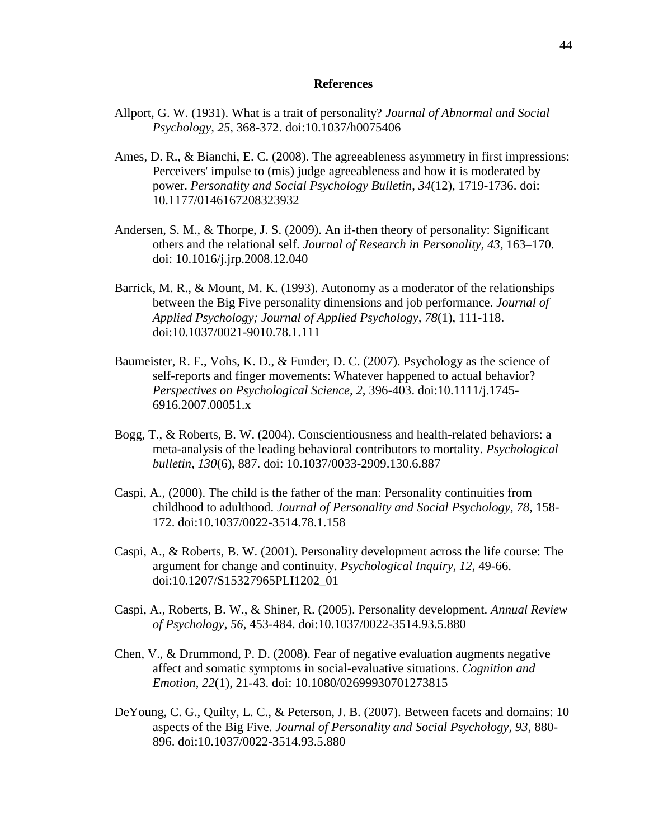#### **References**

- Allport, G. W. (1931). What is a trait of personality? *Journal of Abnormal and Social Psychology, 25*, 368-372. doi:10.1037/h0075406
- Ames, D. R., & Bianchi, E. C. (2008). The agreeableness asymmetry in first impressions: Perceivers' impulse to (mis) judge agreeableness and how it is moderated by power. *Personality and Social Psychology Bulletin*, *34*(12), 1719-1736. doi: 10.1177/0146167208323932
- Andersen, S. M., & Thorpe, J. S. (2009). An if-then theory of personality: Significant others and the relational self. *Journal of Research in Personality, 43*, 163–170. doi: 10.1016/j.jrp.2008.12.040
- Barrick, M. R., & Mount, M. K. (1993). Autonomy as a moderator of the relationships between the Big Five personality dimensions and job performance. *Journal of Applied Psychology; Journal of Applied Psychology, 78*(1), 111-118. doi:10.1037/0021-9010.78.1.111
- Baumeister, R. F., Vohs, K. D., & Funder, D. C. (2007). Psychology as the science of self-reports and finger movements: Whatever happened to actual behavior? *Perspectives on Psychological Science, 2,* 396-403. doi:10.1111/j.1745- 6916.2007.00051.x
- Bogg, T., & Roberts, B. W. (2004). Conscientiousness and health-related behaviors: a meta-analysis of the leading behavioral contributors to mortality. *Psychological bulletin, 130*(6), 887. doi: 10.1037/0033-2909.130.6.887
- Caspi, A., (2000). The child is the father of the man: Personality continuities from childhood to adulthood. *Journal of Personality and Social Psychology, 78*, 158- 172. doi:10.1037/0022-3514.78.1.158
- Caspi, A., & Roberts, B. W. (2001). Personality development across the life course: The argument for change and continuity. *Psychological Inquiry, 12*, 49-66. doi:10.1207/S15327965PLI1202\_01
- Caspi, A., Roberts, B. W., & Shiner, R. (2005). Personality development. *Annual Review of Psychology, 56*, 453-484. doi:10.1037/0022-3514.93.5.880
- Chen, V., & Drummond, P. D. (2008). Fear of negative evaluation augments negative affect and somatic symptoms in social-evaluative situations. *Cognition and Emotion*, *22*(1), 21-43. doi: 10.1080/02699930701273815
- DeYoung, C. G., Quilty, L. C., & Peterson, J. B. (2007). Between facets and domains: 10 aspects of the Big Five. *Journal of Personality and Social Psychology, 93*, 880- 896. doi:10.1037/0022-3514.93.5.880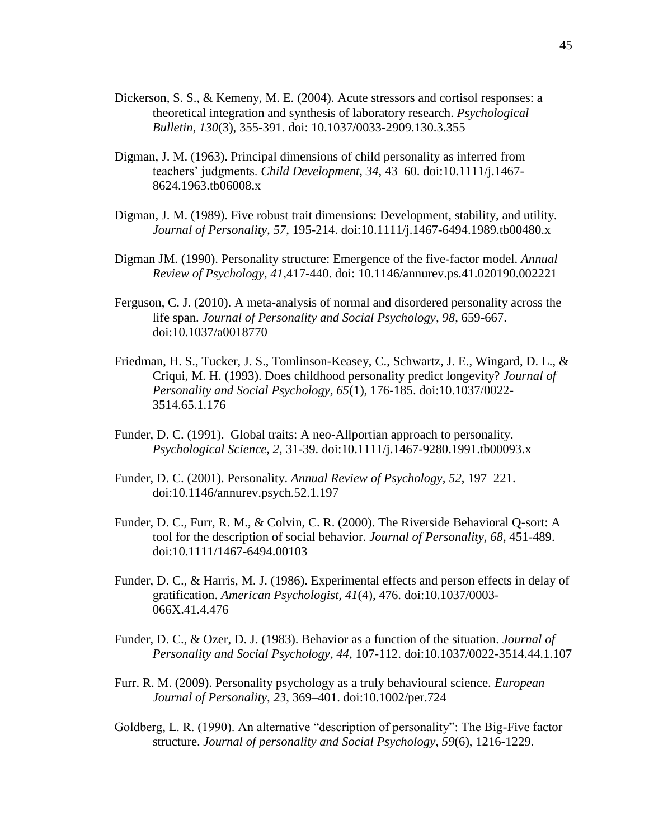- Dickerson, S. S., & Kemeny, M. E. (2004). Acute stressors and cortisol responses: a theoretical integration and synthesis of laboratory research. *Psychological Bulletin, 130*(3), 355-391. doi: 10.1037/0033-2909.130.3.355
- Digman, J. M. (1963). Principal dimensions of child personality as inferred from teachers' judgments. *Child Development, 34*, 43–60. doi:10.1111/j.1467- 8624.1963.tb06008.x
- Digman, J. M. (1989). Five robust trait dimensions: Development, stability, and utility. *Journal of Personality, 57*, 195-214. doi:10.1111/j.1467-6494.1989.tb00480.x
- Digman JM. (1990). Personality structure: Emergence of the five-factor model. *Annual Review of Psychology, 41*,417-440. doi: 10.1146/annurev.ps.41.020190.002221
- Ferguson, C. J. (2010). A meta-analysis of normal and disordered personality across the life span. *Journal of Personality and Social Psychology, 98*, 659-667. doi:10.1037/a0018770
- Friedman, H. S., Tucker, J. S., Tomlinson-Keasey, C., Schwartz, J. E., Wingard, D. L., & Criqui, M. H. (1993). Does childhood personality predict longevity? *Journal of Personality and Social Psychology, 65*(1), 176-185. doi:10.1037/0022- 3514.65.1.176
- Funder, D. C. (1991). Global traits: A neo-Allportian approach to personality. *Psychological Science, 2*, 31-39. doi:10.1111/j.1467-9280.1991.tb00093.x
- Funder, D. C. (2001). Personality. *Annual Review of Psychology, 52*, 197–221. doi:10.1146/annurev.psych.52.1.197
- Funder, D. C., Furr, R. M., & Colvin, C. R. (2000). The Riverside Behavioral Q-sort: A tool for the description of social behavior. *Journal of Personality, 68*, 451-489. doi:10.1111/1467-6494.00103
- Funder, D. C., & Harris, M. J. (1986). Experimental effects and person effects in delay of gratification. *American Psychologist, 41*(4), 476. doi:10.1037/0003- 066X.41.4.476
- Funder, D. C., & Ozer, D. J. (1983). Behavior as a function of the situation. *Journal of Personality and Social Psychology, 44*, 107-112. doi:10.1037/0022-3514.44.1.107
- Furr. R. M. (2009). Personality psychology as a truly behavioural science. *European Journal of Personality, 23*, 369–401. doi:10.1002/per.724
- Goldberg, L. R. (1990). An alternative "description of personality": The Big-Five factor structure. *Journal of personality and Social Psychology*, *59*(6), 1216-1229.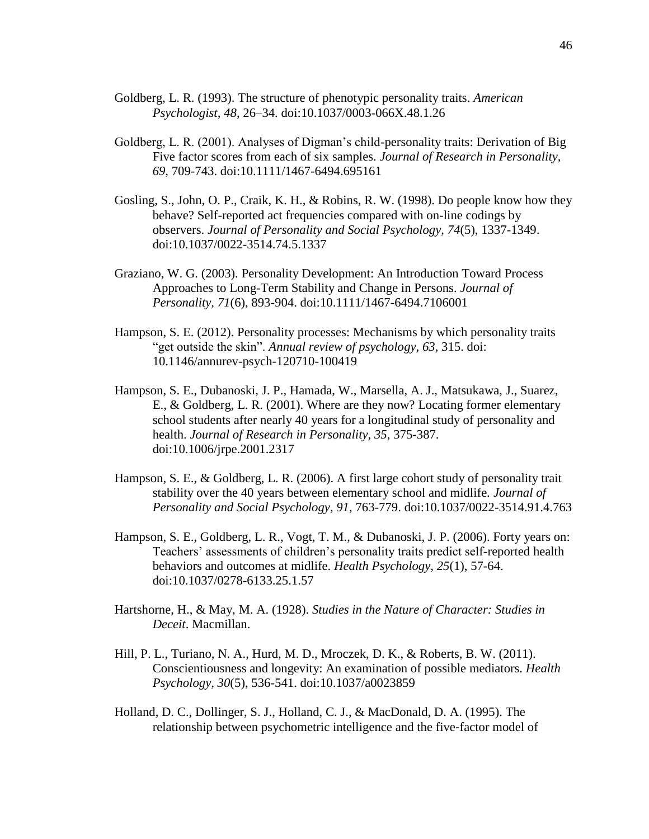- Goldberg, L. R. (1993). The structure of phenotypic personality traits. *American Psychologist, 48*, 26–34. doi:10.1037/0003-066X.48.1.26
- Goldberg, L. R. (2001). Analyses of Digman's child-personality traits: Derivation of Big Five factor scores from each of six samples. *Journal of Research in Personality, 69*, 709-743. doi:10.1111/1467-6494.695161
- Gosling, S., John, O. P., Craik, K. H., & Robins, R. W. (1998). Do people know how they behave? Self-reported act frequencies compared with on-line codings by observers. *Journal of Personality and Social Psychology, 74*(5), 1337-1349. doi:10.1037/0022-3514.74.5.1337
- Graziano, W. G. (2003). Personality Development: An Introduction Toward Process Approaches to Long-Term Stability and Change in Persons. *Journal of Personality, 71*(6), 893-904. doi:10.1111/1467-6494.7106001
- Hampson, S. E. (2012). Personality processes: Mechanisms by which personality traits "get outside the skin". *Annual review of psychology, 63*, 315. doi: 10.1146/annurev-psych-120710-100419
- Hampson, S. E., Dubanoski, J. P., Hamada, W., Marsella, A. J., Matsukawa, J., Suarez, E., & Goldberg, L. R. (2001). Where are they now? Locating former elementary school students after nearly 40 years for a longitudinal study of personality and health. *Journal of Research in Personality, 35*, 375-387. doi:10.1006/jrpe.2001.2317
- Hampson, S. E., & Goldberg, L. R. (2006). A first large cohort study of personality trait stability over the 40 years between elementary school and midlife. *Journal of Personality and Social Psychology, 91*, 763-779. doi:10.1037/0022-3514.91.4.763
- Hampson, S. E., Goldberg, L. R., Vogt, T. M., & Dubanoski, J. P. (2006). Forty years on: Teachers' assessments of children's personality traits predict self-reported health behaviors and outcomes at midlife. *Health Psychology, 25*(1), 57-64. doi:10.1037/0278-6133.25.1.57
- Hartshorne, H., & May, M. A. (1928). *Studies in the Nature of Character: Studies in Deceit*. Macmillan.
- Hill, P. L., Turiano, N. A., Hurd, M. D., Mroczek, D. K., & Roberts, B. W. (2011). Conscientiousness and longevity: An examination of possible mediators. *Health Psychology, 30*(5), 536-541. doi:10.1037/a0023859
- Holland, D. C., Dollinger, S. J., Holland, C. J., & MacDonald, D. A. (1995). The relationship between psychometric intelligence and the five‐factor model of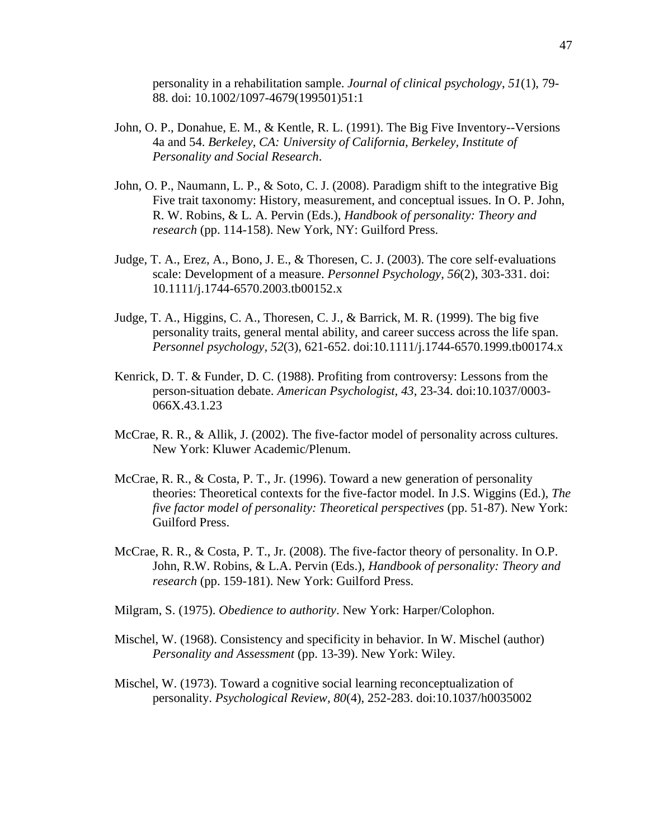personality in a rehabilitation sample. *Journal of clinical psychology*, *51*(1), 79- 88. doi: 10.1002/1097-4679(199501)51:1

- John, O. P., Donahue, E. M., & Kentle, R. L. (1991). The Big Five Inventory--Versions 4a and 54. *Berkeley, CA: University of California, Berkeley, Institute of Personality and Social Research*.
- John, O. P., Naumann, L. P., & Soto, C. J. (2008). Paradigm shift to the integrative Big Five trait taxonomy: History, measurement, and conceptual issues. In O. P. John, R. W. Robins, & L. A. Pervin (Eds.), *Handbook of personality: Theory and research* (pp. 114-158). New York, NY: Guilford Press.
- Judge, T. A., Erez, A., Bono, J. E.,  $\&$  Thoresen, C. J. (2003). The core self-evaluations scale: Development of a measure. *Personnel Psychology, 56*(2), 303-331. doi: 10.1111/j.1744-6570.2003.tb00152.x
- Judge, T. A., Higgins, C. A., Thoresen, C. J., & Barrick, M. R. (1999). The big five personality traits, general mental ability, and career success across the life span. *Personnel psychology, 52*(3), 621-652. doi:10.1111/j.1744-6570.1999.tb00174.x
- Kenrick, D. T. & Funder, D. C. (1988). Profiting from controversy: Lessons from the person-situation debate. *American Psychologist, 43*, 23-34. doi:10.1037/0003- 066X.43.1.23
- McCrae, R. R., & Allik, J. (2002). The five-factor model of personality across cultures. New York: Kluwer Academic/Plenum.
- McCrae, R. R., & Costa, P. T., Jr. (1996). Toward a new generation of personality theories: Theoretical contexts for the five-factor model. In J.S. Wiggins (Ed.), *The five factor model of personality: Theoretical perspectives* (pp. 51-87). New York: Guilford Press.
- McCrae, R. R., & Costa, P. T., Jr. (2008). The five-factor theory of personality. In O.P. John, R.W. Robins, & L.A. Pervin (Eds.), *Handbook of personality: Theory and research* (pp. 159-181). New York: Guilford Press.
- Milgram, S. (1975). *Obedience to authority*. New York: Harper/Colophon.
- Mischel, W. (1968). Consistency and specificity in behavior. In W. Mischel (author) *Personality and Assessment* (pp. 13-39). New York: Wiley.
- Mischel, W. (1973). Toward a cognitive social learning reconceptualization of personality. *Psychological Review, 80*(4), 252-283. doi:10.1037/h0035002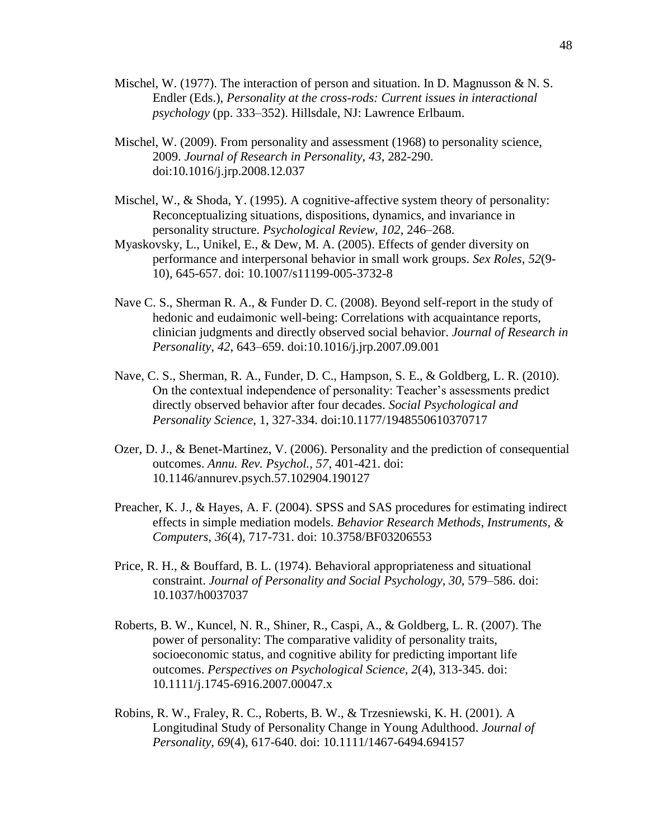- Mischel, W. (1977). The interaction of person and situation. In D. Magnusson & N. S. Endler (Eds.), *Personality at the cross-rods: Current issues in interactional psychology* (pp. 333–352). Hillsdale, NJ: Lawrence Erlbaum.
- Mischel, W. (2009). From personality and assessment (1968) to personality science, 2009. *Journal of Research in Personality, 43,* 282-290. doi:10.1016/j.jrp.2008.12.037
- Mischel, W.,  $\&$  Shoda, Y. (1995). A cognitive-affective system theory of personality: Reconceptualizing situations, dispositions, dynamics, and invariance in personality structure. *Psychological Review, 102*, 246–268.
- Myaskovsky, L., Unikel, E., & Dew, M. A. (2005). Effects of gender diversity on performance and interpersonal behavior in small work groups. *Sex Roles*, *52*(9- 10), 645-657. doi: 10.1007/s11199-005-3732-8
- Nave C. S., Sherman R. A., & Funder D. C. (2008). Beyond self-report in the study of hedonic and eudaimonic well-being: Correlations with acquaintance reports, clinician judgments and directly observed social behavior. *Journal of Research in Personality, 42*, 643–659. doi:10.1016/j.jrp.2007.09.001
- Nave, C. S., Sherman, R. A., Funder, D. C., Hampson, S. E., & Goldberg, L. R. (2010). On the contextual independence of personality: Teacher's assessments predict directly observed behavior after four decades. *Social Psychological and Personality Science*, 1, 327-334. doi:10.1177/1948550610370717
- Ozer, D. J., & Benet-Martinez, V. (2006). Personality and the prediction of consequential outcomes. *Annu. Rev. Psychol., 57*, 401-421. doi: 10.1146/annurev.psych.57.102904.190127
- Preacher, K. J., & Hayes, A. F. (2004). SPSS and SAS procedures for estimating indirect effects in simple mediation models. *Behavior Research Methods, Instruments, & Computers, 36*(4), 717-731. doi: 10.3758/BF03206553
- Price, R. H., & Bouffard, B. L. (1974). Behavioral appropriateness and situational constraint. *Journal of Personality and Social Psychology, 30, 579–586. doi:* 10.1037/h0037037
- Roberts, B. W., Kuncel, N. R., Shiner, R., Caspi, A., & Goldberg, L. R. (2007). The power of personality: The comparative validity of personality traits, socioeconomic status, and cognitive ability for predicting important life outcomes. *Perspectives on Psychological Science, 2*(4), 313-345. doi: 10.1111/j.1745-6916.2007.00047.x
- Robins, R. W., Fraley, R. C., Roberts, B. W., & Trzesniewski, K. H. (2001). A Longitudinal Study of Personality Change in Young Adulthood. *Journal of Personality, 69*(4), 617-640. doi: 10.1111/1467-6494.694157